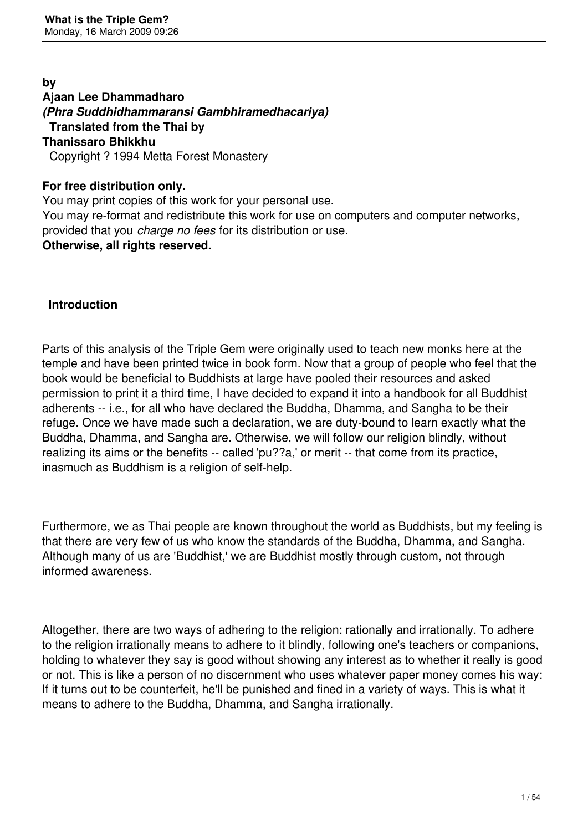**by Ajaan Lee Dhammadharo**  *(Phra Suddhidhammaransi Gambhiramedhacariya)* **Translated from the Thai by Thanissaro Bhikkhu**  Copyright ? 1994 Metta Forest Monastery

#### **For free distribution only.**

You may print copies of this work for your personal use. You may re-format and redistribute this work for use on computers and computer networks, provided that you *charge no fees* for its distribution or use. **Otherwise, all rights reserved.**

### **Introduction**

Parts of this analysis of the Triple Gem were originally used to teach new monks here at the temple and have been printed twice in book form. Now that a group of people who feel that the book would be beneficial to Buddhists at large have pooled their resources and asked permission to print it a third time, I have decided to expand it into a handbook for all Buddhist adherents -- i.e., for all who have declared the Buddha, Dhamma, and Sangha to be their refuge. Once we have made such a declaration, we are duty-bound to learn exactly what the Buddha, Dhamma, and Sangha are. Otherwise, we will follow our religion blindly, without realizing its aims or the benefits -- called 'pu??a,' or merit -- that come from its practice, inasmuch as Buddhism is a religion of self-help.

Furthermore, we as Thai people are known throughout the world as Buddhists, but my feeling is that there are very few of us who know the standards of the Buddha, Dhamma, and Sangha. Although many of us are 'Buddhist,' we are Buddhist mostly through custom, not through informed awareness.

Altogether, there are two ways of adhering to the religion: rationally and irrationally. To adhere to the religion irrationally means to adhere to it blindly, following one's teachers or companions, holding to whatever they say is good without showing any interest as to whether it really is good or not. This is like a person of no discernment who uses whatever paper money comes his way: If it turns out to be counterfeit, he'll be punished and fined in a variety of ways. This is what it means to adhere to the Buddha, Dhamma, and Sangha irrationally.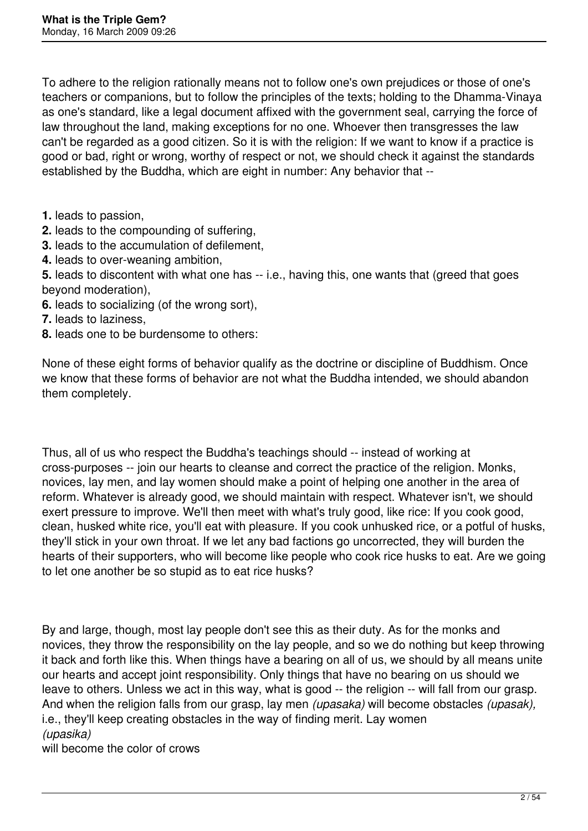To adhere to the religion rationally means not to follow one's own prejudices or those of one's teachers or companions, but to follow the principles of the texts; holding to the Dhamma-Vinaya as one's standard, like a legal document affixed with the government seal, carrying the force of law throughout the land, making exceptions for no one. Whoever then transgresses the law can't be regarded as a good citizen. So it is with the religion: If we want to know if a practice is good or bad, right or wrong, worthy of respect or not, we should check it against the standards established by the Buddha, which are eight in number: Any behavior that --

- **1.** leads to passion,
- **2.** leads to the compounding of suffering,
- **3.** leads to the accumulation of defilement,
- **4.** leads to over-weaning ambition,
- **5.** leads to discontent with what one has -- i.e., having this, one wants that (greed that goes beyond moderation),
- **6.** leads to socializing (of the wrong sort),
- **7.** leads to laziness,
- **8.** leads one to be burdensome to others:

None of these eight forms of behavior qualify as the doctrine or discipline of Buddhism. Once we know that these forms of behavior are not what the Buddha intended, we should abandon them completely.

Thus, all of us who respect the Buddha's teachings should -- instead of working at cross-purposes -- join our hearts to cleanse and correct the practice of the religion. Monks, novices, lay men, and lay women should make a point of helping one another in the area of reform. Whatever is already good, we should maintain with respect. Whatever isn't, we should exert pressure to improve. We'll then meet with what's truly good, like rice: If you cook good, clean, husked white rice, you'll eat with pleasure. If you cook unhusked rice, or a potful of husks, they'll stick in your own throat. If we let any bad factions go uncorrected, they will burden the hearts of their supporters, who will become like people who cook rice husks to eat. Are we going to let one another be so stupid as to eat rice husks?

By and large, though, most lay people don't see this as their duty. As for the monks and novices, they throw the responsibility on the lay people, and so we do nothing but keep throwing it back and forth like this. When things have a bearing on all of us, we should by all means unite our hearts and accept joint responsibility. Only things that have no bearing on us should we leave to others. Unless we act in this way, what is good -- the religion -- will fall from our grasp. And when the religion falls from our grasp, lay men *(upasaka)* will become obstacles *(upasak),* i.e., they'll keep creating obstacles in the way of finding merit. Lay women *(upasika)*

will become the color of crows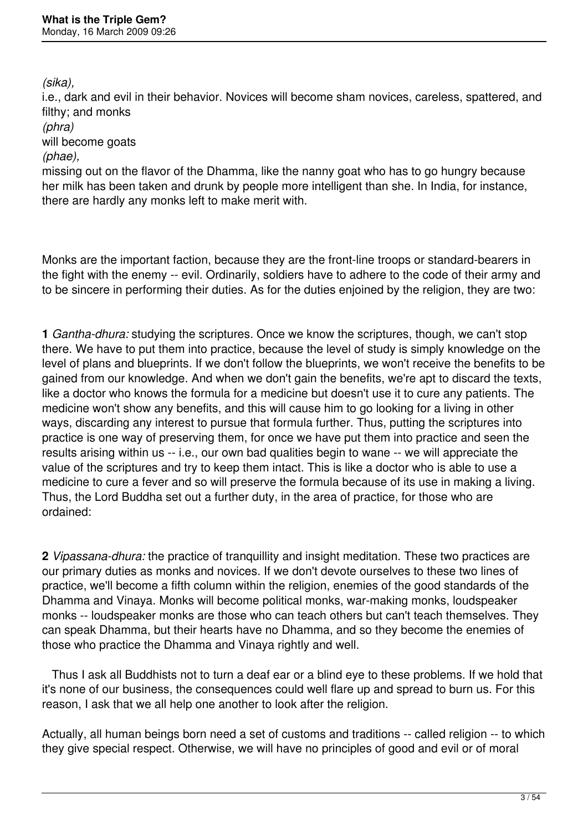*(sika),*

i.e., dark and evil in their behavior. Novices will become sham novices, careless, spattered, and filthy; and monks

*(phra)*

will become goats

#### *(phae),*

missing out on the flavor of the Dhamma, like the nanny goat who has to go hungry because her milk has been taken and drunk by people more intelligent than she. In India, for instance, there are hardly any monks left to make merit with.

Monks are the important faction, because they are the front-line troops or standard-bearers in the fight with the enemy -- evil. Ordinarily, soldiers have to adhere to the code of their army and to be sincere in performing their duties. As for the duties enjoined by the religion, they are two:

**1** *Gantha-dhura:* studying the scriptures. Once we know the scriptures, though, we can't stop there. We have to put them into practice, because the level of study is simply knowledge on the level of plans and blueprints. If we don't follow the blueprints, we won't receive the benefits to be gained from our knowledge. And when we don't gain the benefits, we're apt to discard the texts, like a doctor who knows the formula for a medicine but doesn't use it to cure any patients. The medicine won't show any benefits, and this will cause him to go looking for a living in other ways, discarding any interest to pursue that formula further. Thus, putting the scriptures into practice is one way of preserving them, for once we have put them into practice and seen the results arising within us -- i.e., our own bad qualities begin to wane -- we will appreciate the value of the scriptures and try to keep them intact. This is like a doctor who is able to use a medicine to cure a fever and so will preserve the formula because of its use in making a living. Thus, the Lord Buddha set out a further duty, in the area of practice, for those who are ordained:

**2** *Vipassana-dhura:* the practice of tranquillity and insight meditation. These two practices are our primary duties as monks and novices. If we don't devote ourselves to these two lines of practice, we'll become a fifth column within the religion, enemies of the good standards of the Dhamma and Vinaya. Monks will become political monks, war-making monks, loudspeaker monks -- loudspeaker monks are those who can teach others but can't teach themselves. They can speak Dhamma, but their hearts have no Dhamma, and so they become the enemies of those who practice the Dhamma and Vinaya rightly and well.

 Thus I ask all Buddhists not to turn a deaf ear or a blind eye to these problems. If we hold that it's none of our business, the consequences could well flare up and spread to burn us. For this reason, I ask that we all help one another to look after the religion.

Actually, all human beings born need a set of customs and traditions -- called religion -- to which they give special respect. Otherwise, we will have no principles of good and evil or of moral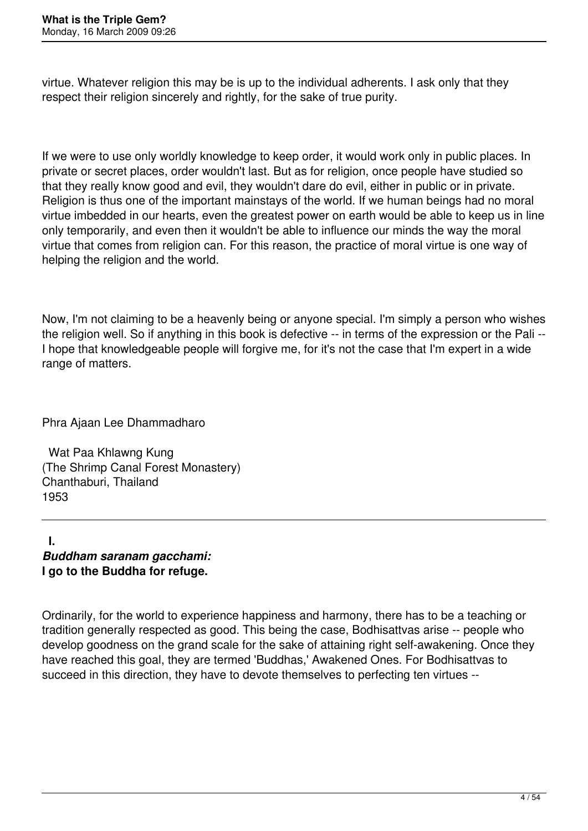virtue. Whatever religion this may be is up to the individual adherents. I ask only that they respect their religion sincerely and rightly, for the sake of true purity.

If we were to use only worldly knowledge to keep order, it would work only in public places. In private or secret places, order wouldn't last. But as for religion, once people have studied so that they really know good and evil, they wouldn't dare do evil, either in public or in private. Religion is thus one of the important mainstays of the world. If we human beings had no moral virtue imbedded in our hearts, even the greatest power on earth would be able to keep us in line only temporarily, and even then it wouldn't be able to influence our minds the way the moral virtue that comes from religion can. For this reason, the practice of moral virtue is one way of helping the religion and the world.

Now, I'm not claiming to be a heavenly being or anyone special. I'm simply a person who wishes the religion well. So if anything in this book is defective -- in terms of the expression or the Pali -- I hope that knowledgeable people will forgive me, for it's not the case that I'm expert in a wide range of matters.

Phra Ajaan Lee Dhammadharo

 Wat Paa Khlawng Kung (The Shrimp Canal Forest Monastery) Chanthaburi, Thailand 1953

 **I.**  *Buddham saranam gacchami:* **I go to the Buddha for refuge.**

Ordinarily, for the world to experience happiness and harmony, there has to be a teaching or tradition generally respected as good. This being the case, Bodhisattvas arise -- people who develop goodness on the grand scale for the sake of attaining right self-awakening. Once they have reached this goal, they are termed 'Buddhas,' Awakened Ones. For Bodhisattvas to succeed in this direction, they have to devote themselves to perfecting ten virtues --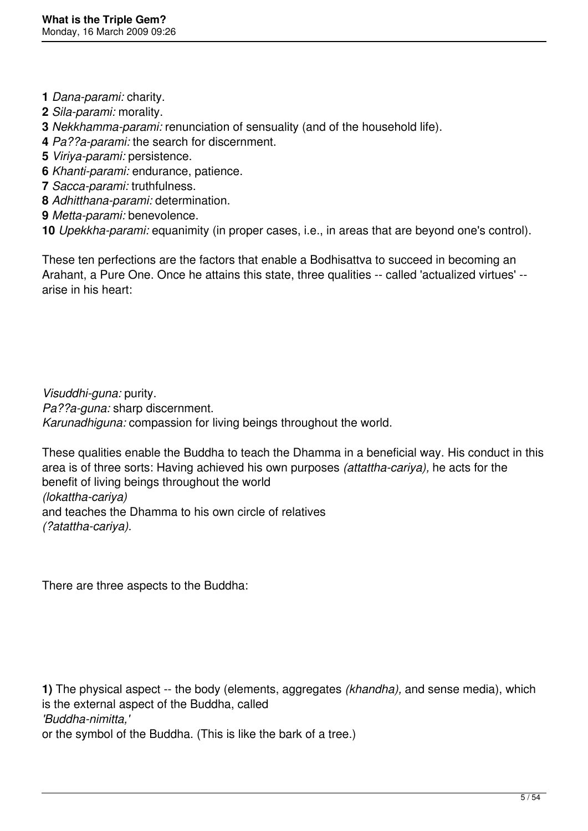- **1** *Dana-parami:* charity.
- **2** *Sila-parami:* morality.
- **3** *Nekkhamma-parami:* renunciation of sensuality (and of the household life).
- **4** *Pa??a-parami:* the search for discernment.
- **5** *Viriya-parami:* persistence.
- **6** *Khanti-parami:* endurance, patience.
- **7** *Sacca-parami:* truthfulness.
- **8** *Adhitthana-parami:* determination.
- **9** *Metta-parami:* benevolence.
- **10** *Upekkha-parami:* equanimity (in proper cases, i.e., in areas that are beyond one's control).

These ten perfections are the factors that enable a Bodhisattva to succeed in becoming an Arahant, a Pure One. Once he attains this state, three qualities -- called 'actualized virtues' - arise in his heart:

*Visuddhi-guna:* purity. *Pa??a-guna:* sharp discernment. *Karunadhiguna:* compassion for living beings throughout the world.

These qualities enable the Buddha to teach the Dhamma in a beneficial way. His conduct in this area is of three sorts: Having achieved his own purposes *(attattha-cariya),* he acts for the benefit of living beings throughout the world *(lokattha-cariya)* and teaches the Dhamma to his own circle of relatives *(?atattha-cariya).*

There are three aspects to the Buddha:

**1)** The physical aspect -- the body (elements, aggregates *(khandha),* and sense media), which is the external aspect of the Buddha, called *'Buddha-nimitta,'* or the symbol of the Buddha. (This is like the bark of a tree.)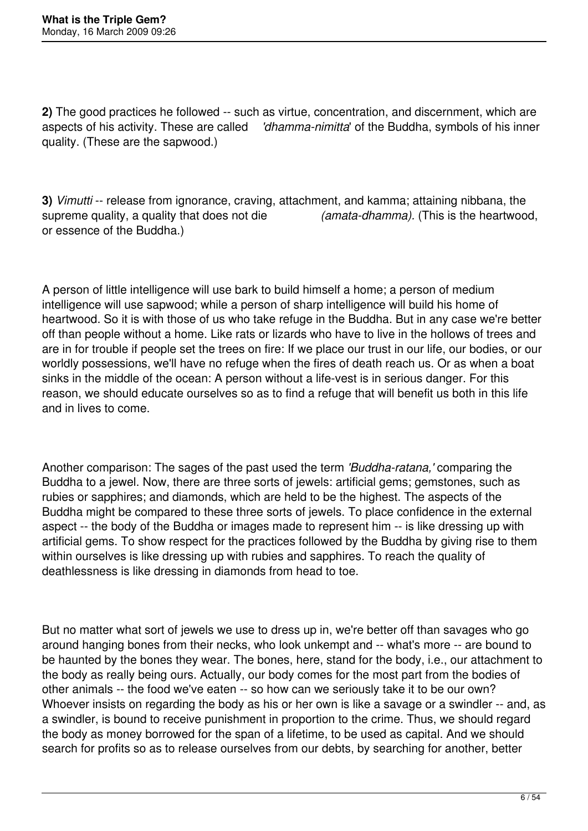**2)** The good practices he followed -- such as virtue, concentration, and discernment, which are aspects of his activity. These are called *'dhamma-nimitta*' of the Buddha, symbols of his inner quality. (These are the sapwood.)

**3)** *Vimutti* -- release from ignorance, craving, attachment, and kamma; attaining nibbana, the supreme quality, a quality that does not die *(amata-dhamma).* (This is the heartwood, or essence of the Buddha.)

A person of little intelligence will use bark to build himself a home; a person of medium intelligence will use sapwood; while a person of sharp intelligence will build his home of heartwood. So it is with those of us who take refuge in the Buddha. But in any case we're better off than people without a home. Like rats or lizards who have to live in the hollows of trees and are in for trouble if people set the trees on fire: If we place our trust in our life, our bodies, or our worldly possessions, we'll have no refuge when the fires of death reach us. Or as when a boat sinks in the middle of the ocean: A person without a life-vest is in serious danger. For this reason, we should educate ourselves so as to find a refuge that will benefit us both in this life and in lives to come.

Another comparison: The sages of the past used the term *'Buddha-ratana,'* comparing the Buddha to a jewel. Now, there are three sorts of jewels: artificial gems; gemstones, such as rubies or sapphires; and diamonds, which are held to be the highest. The aspects of the Buddha might be compared to these three sorts of jewels. To place confidence in the external aspect -- the body of the Buddha or images made to represent him -- is like dressing up with artificial gems. To show respect for the practices followed by the Buddha by giving rise to them within ourselves is like dressing up with rubies and sapphires. To reach the quality of deathlessness is like dressing in diamonds from head to toe.

But no matter what sort of jewels we use to dress up in, we're better off than savages who go around hanging bones from their necks, who look unkempt and -- what's more -- are bound to be haunted by the bones they wear. The bones, here, stand for the body, i.e., our attachment to the body as really being ours. Actually, our body comes for the most part from the bodies of other animals -- the food we've eaten -- so how can we seriously take it to be our own? Whoever insists on regarding the body as his or her own is like a savage or a swindler -- and, as a swindler, is bound to receive punishment in proportion to the crime. Thus, we should regard the body as money borrowed for the span of a lifetime, to be used as capital. And we should search for profits so as to release ourselves from our debts, by searching for another, better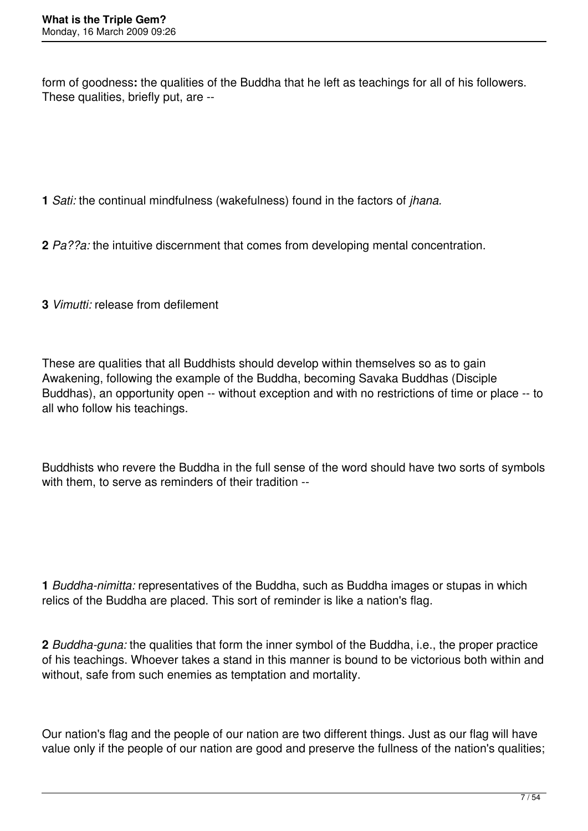form of goodness**:** the qualities of the Buddha that he left as teachings for all of his followers. These qualities, briefly put, are --

**1** *Sati:* the continual mindfulness (wakefulness) found in the factors of *jhana.*

**2** *Pa??a:* the intuitive discernment that comes from developing mental concentration.

**3** *Vimutti:* release from defilement

These are qualities that all Buddhists should develop within themselves so as to gain Awakening, following the example of the Buddha, becoming Savaka Buddhas (Disciple Buddhas), an opportunity open -- without exception and with no restrictions of time or place -- to all who follow his teachings.

Buddhists who revere the Buddha in the full sense of the word should have two sorts of symbols with them, to serve as reminders of their tradition --

**1** *Buddha-nimitta:* representatives of the Buddha, such as Buddha images or stupas in which relics of the Buddha are placed. This sort of reminder is like a nation's flag.

**2** *Buddha-guna:* the qualities that form the inner symbol of the Buddha, i.e., the proper practice of his teachings. Whoever takes a stand in this manner is bound to be victorious both within and without, safe from such enemies as temptation and mortality.

Our nation's flag and the people of our nation are two different things. Just as our flag will have value only if the people of our nation are good and preserve the fullness of the nation's qualities;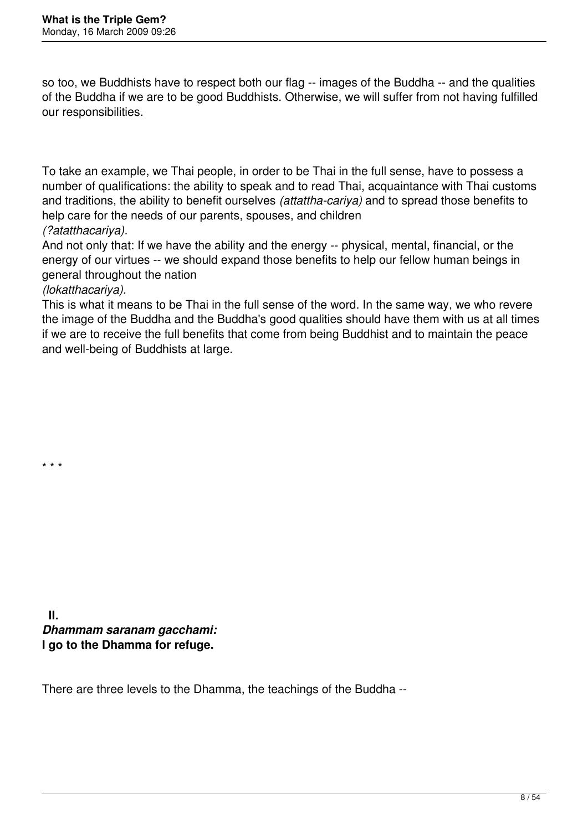so too, we Buddhists have to respect both our flag -- images of the Buddha -- and the qualities of the Buddha if we are to be good Buddhists. Otherwise, we will suffer from not having fulfilled our responsibilities.

To take an example, we Thai people, in order to be Thai in the full sense, have to possess a number of qualifications: the ability to speak and to read Thai, acquaintance with Thai customs and traditions, the ability to benefit ourselves *(attattha-cariya)* and to spread those benefits to help care for the needs of our parents, spouses, and children *(?atatthacariya).*

And not only that: If we have the ability and the energy -- physical, mental, financial, or the energy of our virtues -- we should expand those benefits to help our fellow human beings in general throughout the nation

### *(lokatthacariya).*

\* \* \*

This is what it means to be Thai in the full sense of the word. In the same way, we who revere the image of the Buddha and the Buddha's good qualities should have them with us at all times if we are to receive the full benefits that come from being Buddhist and to maintain the peace and well-being of Buddhists at large.

 **II.**  *Dhammam saranam gacchami:* **I go to the Dhamma for refuge.**

There are three levels to the Dhamma, the teachings of the Buddha --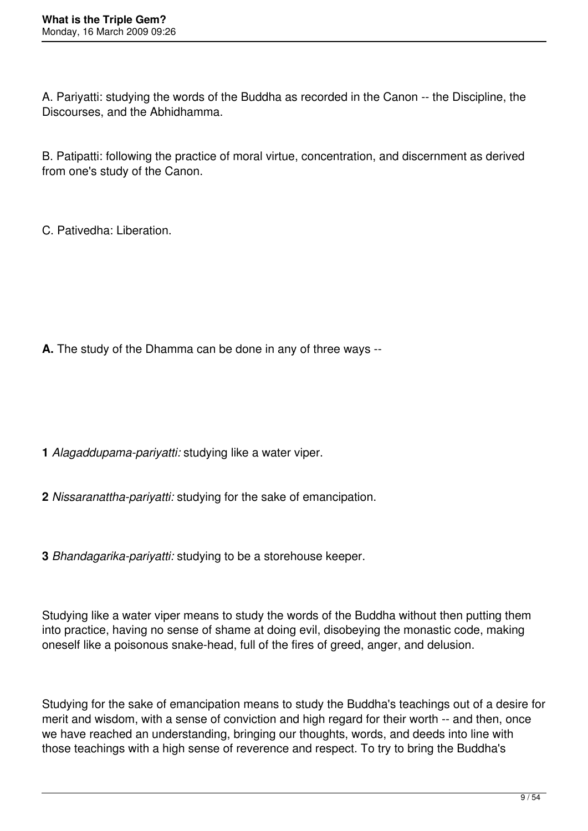A. Pariyatti: studying the words of the Buddha as recorded in the Canon -- the Discipline, the Discourses, and the Abhidhamma.

B. Patipatti: following the practice of moral virtue, concentration, and discernment as derived from one's study of the Canon.

C. Pativedha: Liberation.

**A.** The study of the Dhamma can be done in any of three ways --

- **1** *Alagaddupama-pariyatti:* studying like a water viper.
- **2** *Nissaranattha-pariyatti:* studying for the sake of emancipation.
- **3** *Bhandagarika-pariyatti:* studying to be a storehouse keeper.

Studying like a water viper means to study the words of the Buddha without then putting them into practice, having no sense of shame at doing evil, disobeying the monastic code, making oneself like a poisonous snake-head, full of the fires of greed, anger, and delusion.

Studying for the sake of emancipation means to study the Buddha's teachings out of a desire for merit and wisdom, with a sense of conviction and high regard for their worth -- and then, once we have reached an understanding, bringing our thoughts, words, and deeds into line with those teachings with a high sense of reverence and respect. To try to bring the Buddha's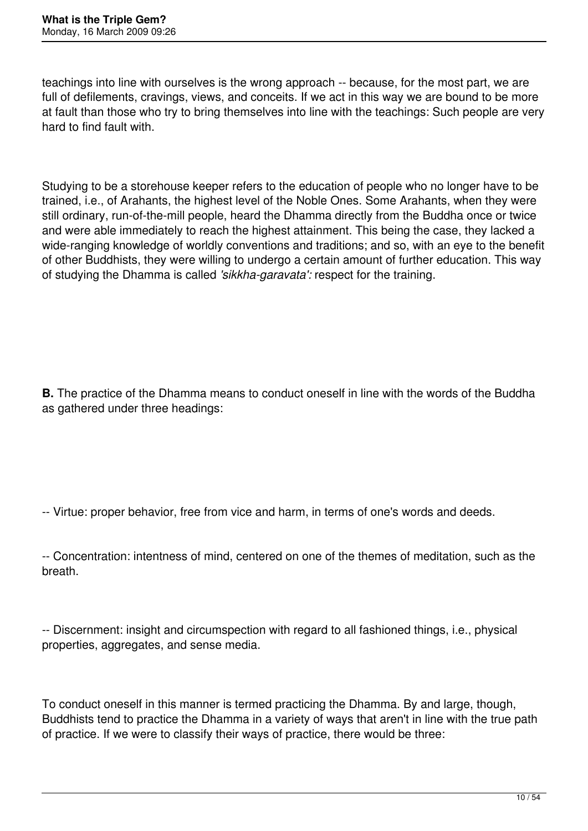teachings into line with ourselves is the wrong approach -- because, for the most part, we are full of defilements, cravings, views, and conceits. If we act in this way we are bound to be more at fault than those who try to bring themselves into line with the teachings: Such people are very hard to find fault with.

Studying to be a storehouse keeper refers to the education of people who no longer have to be trained, i.e., of Arahants, the highest level of the Noble Ones. Some Arahants, when they were still ordinary, run-of-the-mill people, heard the Dhamma directly from the Buddha once or twice and were able immediately to reach the highest attainment. This being the case, they lacked a wide-ranging knowledge of worldly conventions and traditions; and so, with an eye to the benefit of other Buddhists, they were willing to undergo a certain amount of further education. This way of studying the Dhamma is called *'sikkha-garavata':* respect for the training.

**B.** The practice of the Dhamma means to conduct oneself in line with the words of the Buddha as gathered under three headings:

-- Virtue: proper behavior, free from vice and harm, in terms of one's words and deeds.

-- Discernment: insight and circumspection with regard to all fashioned things, i.e., physical properties, aggregates, and sense media.

To conduct oneself in this manner is termed practicing the Dhamma. By and large, though, Buddhists tend to practice the Dhamma in a variety of ways that aren't in line with the true path of practice. If we were to classify their ways of practice, there would be three:

<sup>--</sup> Concentration: intentness of mind, centered on one of the themes of meditation, such as the breath.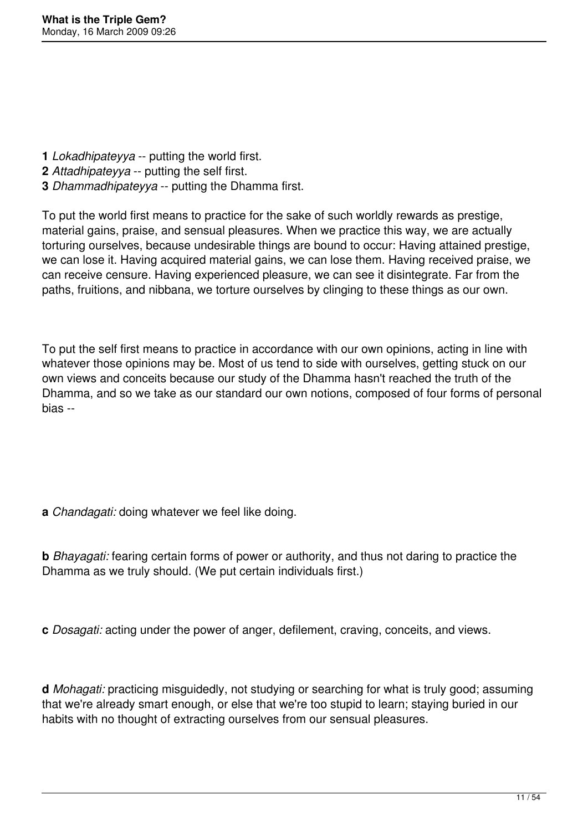- **1** *Lokadhipateyya* -- putting the world first.
- **2** *Attadhipateyya* -- putting the self first.
- **3** *Dhammadhipateyya* -- putting the Dhamma first.

To put the world first means to practice for the sake of such worldly rewards as prestige, material gains, praise, and sensual pleasures. When we practice this way, we are actually torturing ourselves, because undesirable things are bound to occur: Having attained prestige, we can lose it. Having acquired material gains, we can lose them. Having received praise, we can receive censure. Having experienced pleasure, we can see it disintegrate. Far from the paths, fruitions, and nibbana, we torture ourselves by clinging to these things as our own.

To put the self first means to practice in accordance with our own opinions, acting in line with whatever those opinions may be. Most of us tend to side with ourselves, getting stuck on our own views and conceits because our study of the Dhamma hasn't reached the truth of the Dhamma, and so we take as our standard our own notions, composed of four forms of personal bias --

**a** *Chandagati:* doing whatever we feel like doing.

**b** *Bhayagati:* fearing certain forms of power or authority, and thus not daring to practice the Dhamma as we truly should. (We put certain individuals first.)

**c** *Dosagati:* acting under the power of anger, defilement, craving, conceits, and views.

**d** *Mohagati:* practicing misguidedly, not studying or searching for what is truly good; assuming that we're already smart enough, or else that we're too stupid to learn; staying buried in our habits with no thought of extracting ourselves from our sensual pleasures.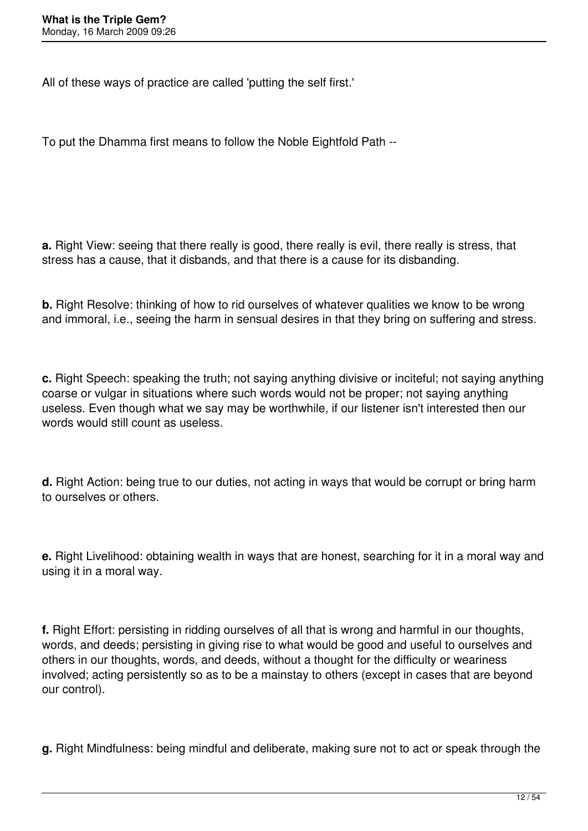All of these ways of practice are called 'putting the self first.'

To put the Dhamma first means to follow the Noble Eightfold Path --

**a.** Right View: seeing that there really is good, there really is evil, there really is stress, that stress has a cause, that it disbands, and that there is a cause for its disbanding.

**b.** Right Resolve: thinking of how to rid ourselves of whatever qualities we know to be wrong and immoral, i.e., seeing the harm in sensual desires in that they bring on suffering and stress.

**c.** Right Speech: speaking the truth; not saying anything divisive or inciteful; not saying anything coarse or vulgar in situations where such words would not be proper; not saying anything useless. Even though what we say may be worthwhile, if our listener isn't interested then our words would still count as useless.

**d.** Right Action: being true to our duties, not acting in ways that would be corrupt or bring harm to ourselves or others.

**e.** Right Livelihood: obtaining wealth in ways that are honest, searching for it in a moral way and using it in a moral way.

**f.** Right Effort: persisting in ridding ourselves of all that is wrong and harmful in our thoughts, words, and deeds; persisting in giving rise to what would be good and useful to ourselves and others in our thoughts, words, and deeds, without a thought for the difficulty or weariness involved; acting persistently so as to be a mainstay to others (except in cases that are beyond our control).

**g.** Right Mindfulness: being mindful and deliberate, making sure not to act or speak through the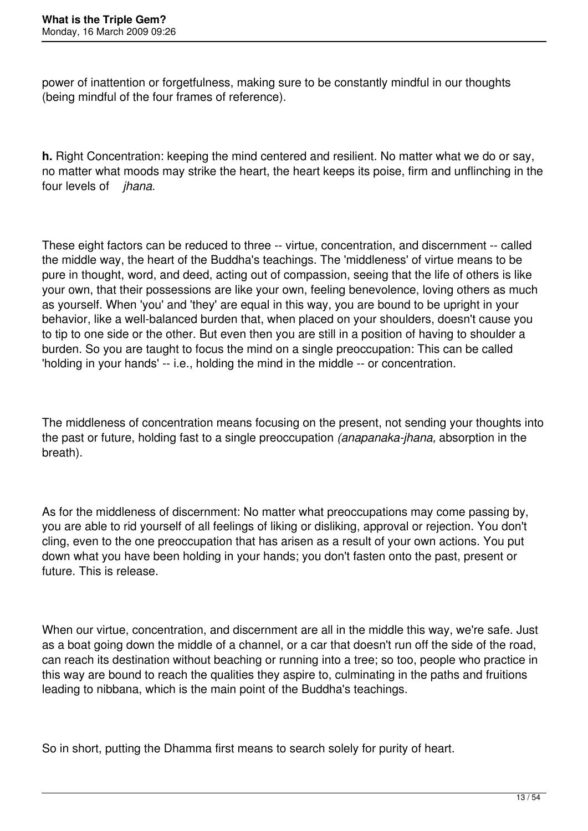power of inattention or forgetfulness, making sure to be constantly mindful in our thoughts (being mindful of the four frames of reference).

**h.** Right Concentration: keeping the mind centered and resilient. No matter what we do or say, no matter what moods may strike the heart, the heart keeps its poise, firm and unflinching in the four levels of *jhana.*

These eight factors can be reduced to three -- virtue, concentration, and discernment -- called the middle way, the heart of the Buddha's teachings. The 'middleness' of virtue means to be pure in thought, word, and deed, acting out of compassion, seeing that the life of others is like your own, that their possessions are like your own, feeling benevolence, loving others as much as yourself. When 'you' and 'they' are equal in this way, you are bound to be upright in your behavior, like a well-balanced burden that, when placed on your shoulders, doesn't cause you to tip to one side or the other. But even then you are still in a position of having to shoulder a burden. So you are taught to focus the mind on a single preoccupation: This can be called 'holding in your hands' -- i.e., holding the mind in the middle -- or concentration.

The middleness of concentration means focusing on the present, not sending your thoughts into the past or future, holding fast to a single preoccupation *(anapanaka-jhana,* absorption in the breath).

As for the middleness of discernment: No matter what preoccupations may come passing by, you are able to rid yourself of all feelings of liking or disliking, approval or rejection. You don't cling, even to the one preoccupation that has arisen as a result of your own actions. You put down what you have been holding in your hands; you don't fasten onto the past, present or future. This is release.

When our virtue, concentration, and discernment are all in the middle this way, we're safe. Just as a boat going down the middle of a channel, or a car that doesn't run off the side of the road, can reach its destination without beaching or running into a tree; so too, people who practice in this way are bound to reach the qualities they aspire to, culminating in the paths and fruitions leading to nibbana, which is the main point of the Buddha's teachings.

So in short, putting the Dhamma first means to search solely for purity of heart.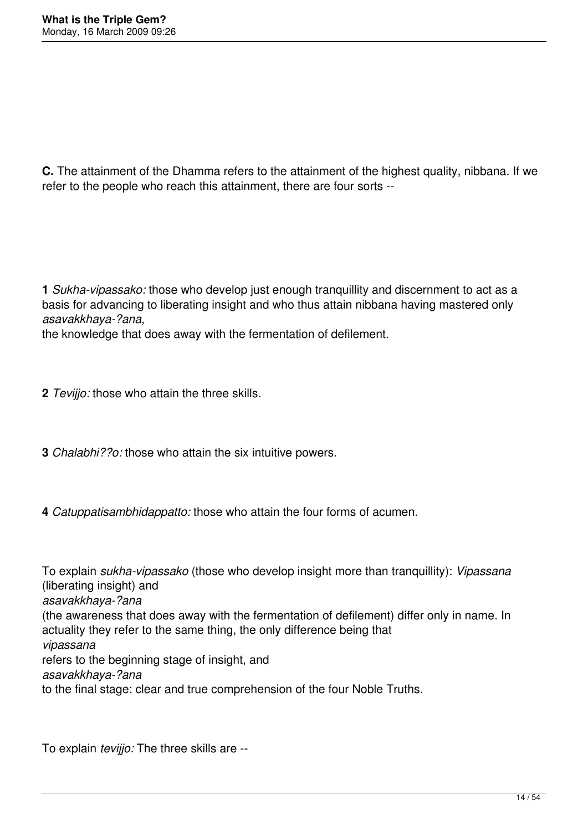**C.** The attainment of the Dhamma refers to the attainment of the highest quality, nibbana. If we refer to the people who reach this attainment, there are four sorts --

**1** *Sukha-vipassako:* those who develop just enough tranquillity and discernment to act as a basis for advancing to liberating insight and who thus attain nibbana having mastered only *asavakkhaya-?ana,*

the knowledge that does away with the fermentation of defilement.

- **2** *Tevijjo:* those who attain the three skills.
- **3** *Chalabhi??o:* those who attain the six intuitive powers.
- **4** *Catuppatisambhidappatto:* those who attain the four forms of acumen.

To explain *sukha-vipassako* (those who develop insight more than tranquillity): *Vipassana* (liberating insight) and *asavakkhaya-?ana* (the awareness that does away with the fermentation of defilement) differ only in name. In actuality they refer to the same thing, the only difference being that *vipassana* refers to the beginning stage of insight, and *asavakkhaya-?ana* to the final stage: clear and true comprehension of the four Noble Truths.

To explain *tevijjo:* The three skills are --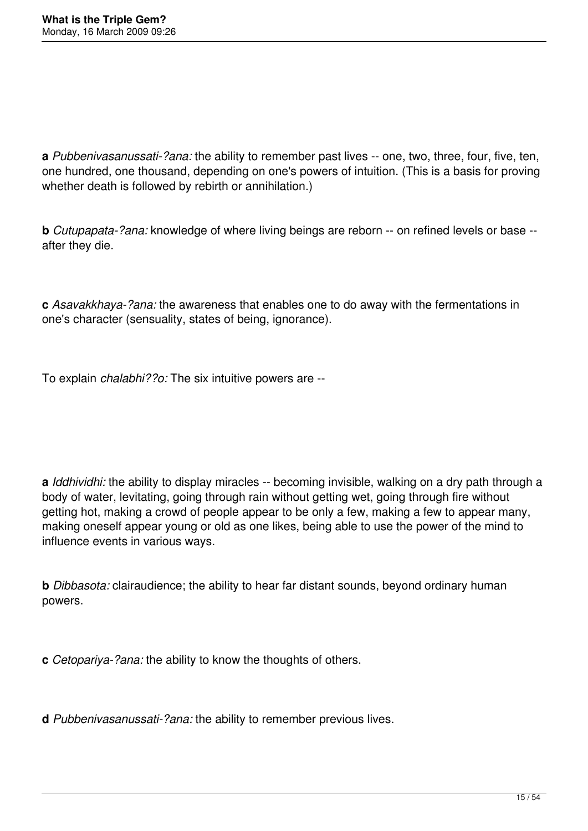**a** *Pubbenivasanussati-?ana:* the ability to remember past lives -- one, two, three, four, five, ten, one hundred, one thousand, depending on one's powers of intuition. (This is a basis for proving whether death is followed by rebirth or annihilation.)

**b** *Cutupapata-?ana:* knowledge of where living beings are reborn -- on refined levels or base - after they die.

**c** *Asavakkhaya-?ana:* the awareness that enables one to do away with the fermentations in one's character (sensuality, states of being, ignorance).

To explain *chalabhi??o:* The six intuitive powers are --

**a** *Iddhividhi:* the ability to display miracles -- becoming invisible, walking on a dry path through a body of water, levitating, going through rain without getting wet, going through fire without getting hot, making a crowd of people appear to be only a few, making a few to appear many, making oneself appear young or old as one likes, being able to use the power of the mind to influence events in various ways.

**b** *Dibbasota:* clairaudience; the ability to hear far distant sounds, beyond ordinary human powers.

**c** *Cetopariya-?ana:* the ability to know the thoughts of others.

**d** *Pubbenivasanussati-?ana:* the ability to remember previous lives.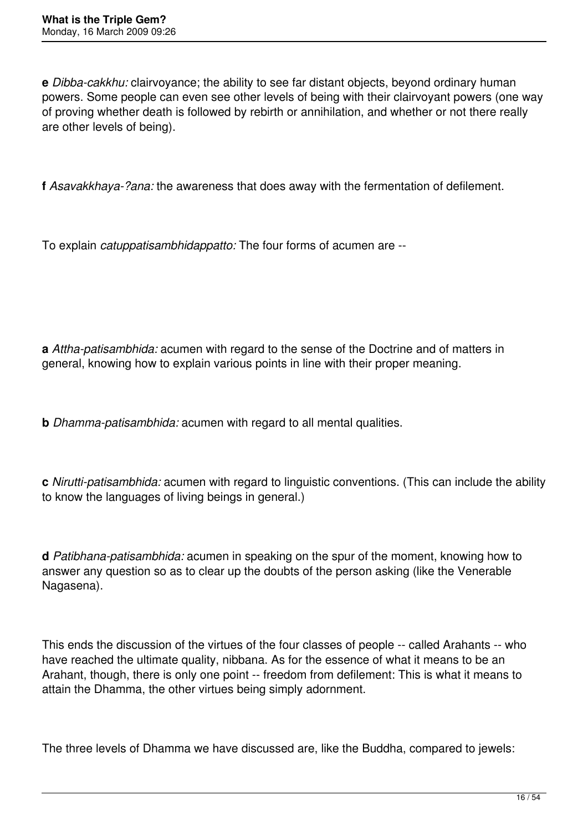**e** *Dibba-cakkhu:* clairvoyance; the ability to see far distant objects, beyond ordinary human powers. Some people can even see other levels of being with their clairvoyant powers (one way of proving whether death is followed by rebirth or annihilation, and whether or not there really are other levels of being).

**f** *Asavakkhaya-?ana:* the awareness that does away with the fermentation of defilement.

To explain *catuppatisambhidappatto:* The four forms of acumen are --

**a** *Attha-patisambhida:* acumen with regard to the sense of the Doctrine and of matters in general, knowing how to explain various points in line with their proper meaning.

**b** *Dhamma-patisambhida:* acumen with regard to all mental qualities.

**c** *Nirutti-patisambhida:* acumen with regard to linguistic conventions. (This can include the ability to know the languages of living beings in general.)

**d** *Patibhana-patisambhida:* acumen in speaking on the spur of the moment, knowing how to answer any question so as to clear up the doubts of the person asking (like the Venerable Nagasena).

This ends the discussion of the virtues of the four classes of people -- called Arahants -- who have reached the ultimate quality, nibbana. As for the essence of what it means to be an Arahant, though, there is only one point -- freedom from defilement: This is what it means to attain the Dhamma, the other virtues being simply adornment.

The three levels of Dhamma we have discussed are, like the Buddha, compared to jewels: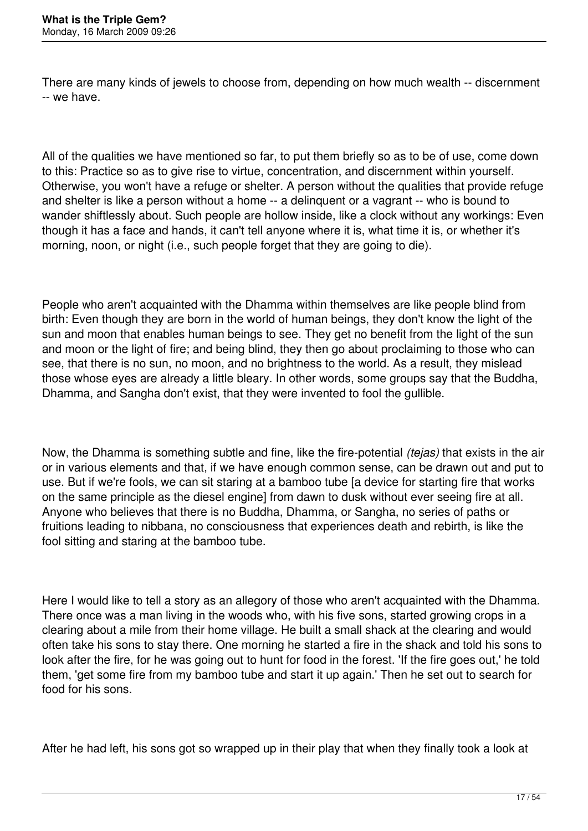There are many kinds of jewels to choose from, depending on how much wealth -- discernment -- we have.

All of the qualities we have mentioned so far, to put them briefly so as to be of use, come down to this: Practice so as to give rise to virtue, concentration, and discernment within yourself. Otherwise, you won't have a refuge or shelter. A person without the qualities that provide refuge and shelter is like a person without a home -- a delinquent or a vagrant -- who is bound to wander shiftlessly about. Such people are hollow inside, like a clock without any workings: Even though it has a face and hands, it can't tell anyone where it is, what time it is, or whether it's morning, noon, or night (i.e., such people forget that they are going to die).

People who aren't acquainted with the Dhamma within themselves are like people blind from birth: Even though they are born in the world of human beings, they don't know the light of the sun and moon that enables human beings to see. They get no benefit from the light of the sun and moon or the light of fire; and being blind, they then go about proclaiming to those who can see, that there is no sun, no moon, and no brightness to the world. As a result, they mislead those whose eyes are already a little bleary. In other words, some groups say that the Buddha, Dhamma, and Sangha don't exist, that they were invented to fool the gullible.

Now, the Dhamma is something subtle and fine, like the fire-potential *(tejas)* that exists in the air or in various elements and that, if we have enough common sense, can be drawn out and put to use. But if we're fools, we can sit staring at a bamboo tube [a device for starting fire that works on the same principle as the diesel engine] from dawn to dusk without ever seeing fire at all. Anyone who believes that there is no Buddha, Dhamma, or Sangha, no series of paths or fruitions leading to nibbana, no consciousness that experiences death and rebirth, is like the fool sitting and staring at the bamboo tube.

Here I would like to tell a story as an allegory of those who aren't acquainted with the Dhamma. There once was a man living in the woods who, with his five sons, started growing crops in a clearing about a mile from their home village. He built a small shack at the clearing and would often take his sons to stay there. One morning he started a fire in the shack and told his sons to look after the fire, for he was going out to hunt for food in the forest. 'If the fire goes out,' he told them, 'get some fire from my bamboo tube and start it up again.' Then he set out to search for food for his sons.

After he had left, his sons got so wrapped up in their play that when they finally took a look at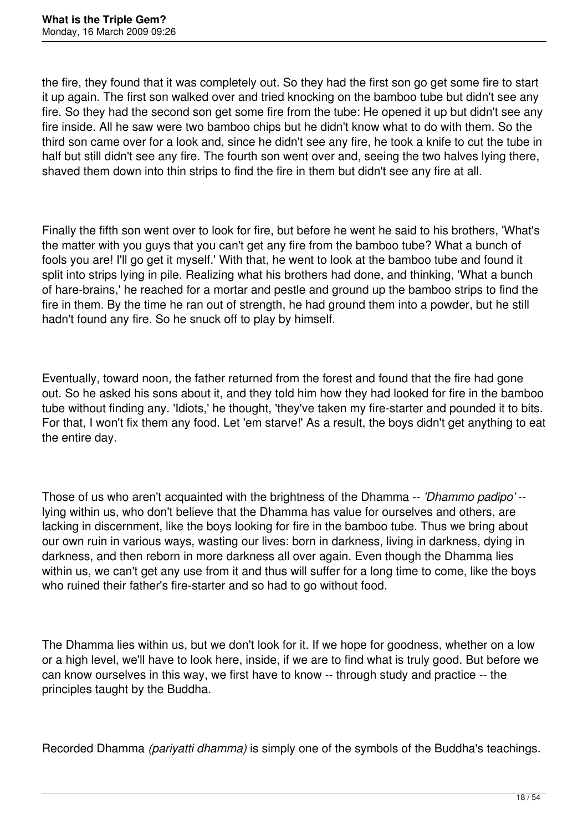the fire, they found that it was completely out. So they had the first son go get some fire to start it up again. The first son walked over and tried knocking on the bamboo tube but didn't see any fire. So they had the second son get some fire from the tube: He opened it up but didn't see any fire inside. All he saw were two bamboo chips but he didn't know what to do with them. So the third son came over for a look and, since he didn't see any fire, he took a knife to cut the tube in half but still didn't see any fire. The fourth son went over and, seeing the two halves lying there, shaved them down into thin strips to find the fire in them but didn't see any fire at all.

Finally the fifth son went over to look for fire, but before he went he said to his brothers, 'What's the matter with you guys that you can't get any fire from the bamboo tube? What a bunch of fools you are! I'll go get it myself.' With that, he went to look at the bamboo tube and found it split into strips lying in pile. Realizing what his brothers had done, and thinking, 'What a bunch of hare-brains,' he reached for a mortar and pestle and ground up the bamboo strips to find the fire in them. By the time he ran out of strength, he had ground them into a powder, but he still hadn't found any fire. So he snuck off to play by himself.

Eventually, toward noon, the father returned from the forest and found that the fire had gone out. So he asked his sons about it, and they told him how they had looked for fire in the bamboo tube without finding any. 'Idiots,' he thought, 'they've taken my fire-starter and pounded it to bits. For that, I won't fix them any food. Let 'em starve!' As a result, the boys didn't get anything to eat the entire day.

Those of us who aren't acquainted with the brightness of the Dhamma -- *'Dhammo padipo'* - lying within us, who don't believe that the Dhamma has value for ourselves and others, are lacking in discernment, like the boys looking for fire in the bamboo tube. Thus we bring about our own ruin in various ways, wasting our lives: born in darkness, living in darkness, dying in darkness, and then reborn in more darkness all over again. Even though the Dhamma lies within us, we can't get any use from it and thus will suffer for a long time to come, like the boys who ruined their father's fire-starter and so had to go without food.

The Dhamma lies within us, but we don't look for it. If we hope for goodness, whether on a low or a high level, we'll have to look here, inside, if we are to find what is truly good. But before we can know ourselves in this way, we first have to know -- through study and practice -- the principles taught by the Buddha.

Recorded Dhamma *(pariyatti dhamma)* is simply one of the symbols of the Buddha's teachings.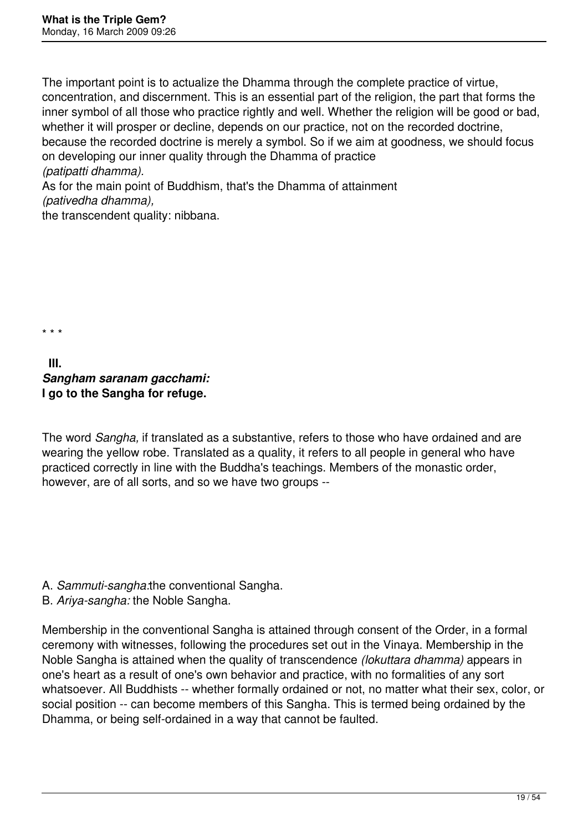The important point is to actualize the Dhamma through the complete practice of virtue, concentration, and discernment. This is an essential part of the religion, the part that forms the inner symbol of all those who practice rightly and well. Whether the religion will be good or bad, whether it will prosper or decline, depends on our practice, not on the recorded doctrine, because the recorded doctrine is merely a symbol. So if we aim at goodness, we should focus on developing our inner quality through the Dhamma of practice *(patipatti dhamma).*

As for the main point of Buddhism, that's the Dhamma of attainment *(pativedha dhamma),*

the transcendent quality: nibbana.

\* \* \*

## **III.**  *Sangham saranam gacchami:* **I go to the Sangha for refuge.**

The word *Sangha,* if translated as a substantive, refers to those who have ordained and are wearing the yellow robe. Translated as a quality, it refers to all people in general who have practiced correctly in line with the Buddha's teachings. Members of the monastic order, however, are of all sorts, and so we have two groups --

- A. *Sammuti-sangha:*the conventional Sangha.
- B. *Ariya-sangha:* the Noble Sangha.

Membership in the conventional Sangha is attained through consent of the Order, in a formal ceremony with witnesses, following the procedures set out in the Vinaya. Membership in the Noble Sangha is attained when the quality of transcendence *(lokuttara dhamma)* appears in one's heart as a result of one's own behavior and practice, with no formalities of any sort whatsoever. All Buddhists -- whether formally ordained or not, no matter what their sex, color, or social position -- can become members of this Sangha. This is termed being ordained by the Dhamma, or being self-ordained in a way that cannot be faulted.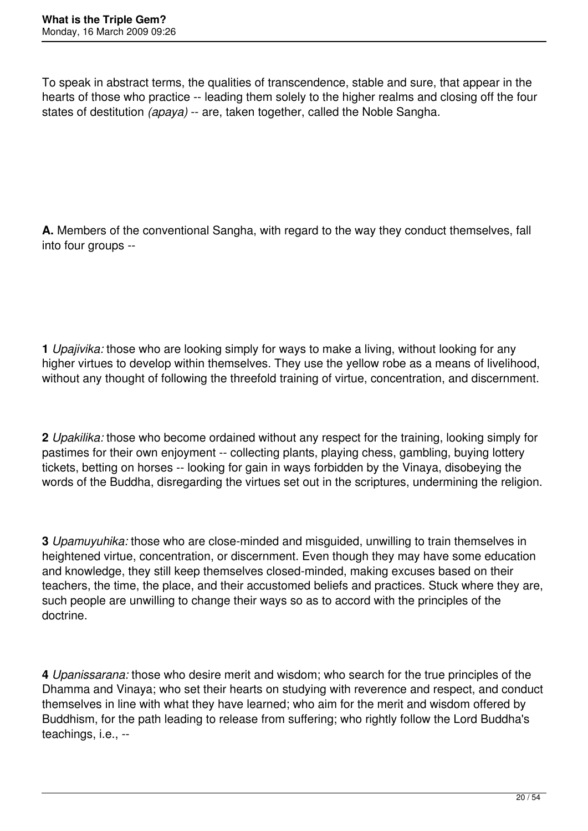To speak in abstract terms, the qualities of transcendence, stable and sure, that appear in the hearts of those who practice -- leading them solely to the higher realms and closing off the four states of destitution *(apaya)* -- are, taken together, called the Noble Sangha.

**A.** Members of the conventional Sangha, with regard to the way they conduct themselves, fall into four groups --

**1** *Upajivika:* those who are looking simply for ways to make a living, without looking for any higher virtues to develop within themselves. They use the yellow robe as a means of livelihood, without any thought of following the threefold training of virtue, concentration, and discernment.

**2** *Upakilika:* those who become ordained without any respect for the training, looking simply for pastimes for their own enjoyment -- collecting plants, playing chess, gambling, buying lottery tickets, betting on horses -- looking for gain in ways forbidden by the Vinaya, disobeying the words of the Buddha, disregarding the virtues set out in the scriptures, undermining the religion.

**3** *Upamuyuhika:* those who are close-minded and misguided, unwilling to train themselves in heightened virtue, concentration, or discernment. Even though they may have some education and knowledge, they still keep themselves closed-minded, making excuses based on their teachers, the time, the place, and their accustomed beliefs and practices. Stuck where they are, such people are unwilling to change their ways so as to accord with the principles of the doctrine.

**4** *Upanissarana:* those who desire merit and wisdom; who search for the true principles of the Dhamma and Vinaya; who set their hearts on studying with reverence and respect, and conduct themselves in line with what they have learned; who aim for the merit and wisdom offered by Buddhism, for the path leading to release from suffering; who rightly follow the Lord Buddha's teachings, i.e., --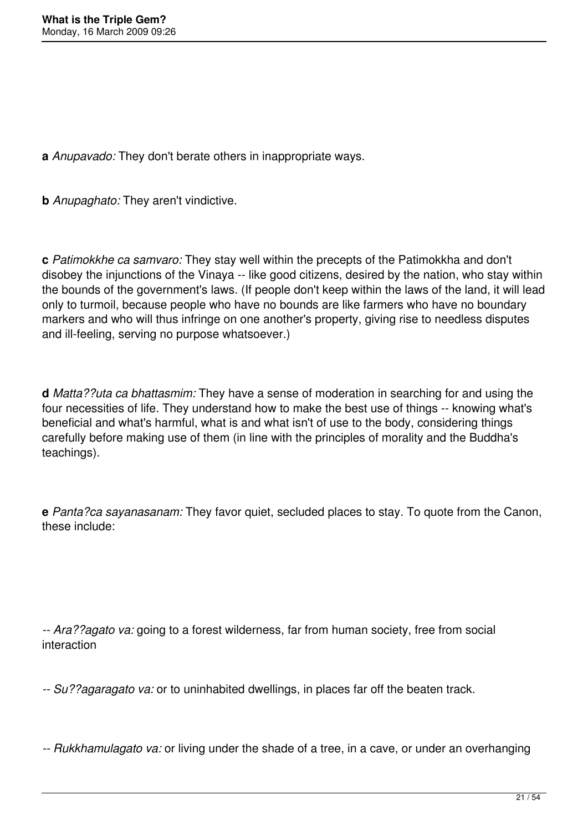**a** *Anupavado:* They don't berate others in inappropriate ways.

**b** *Anupaghato:* They aren't vindictive.

**c** *Patimokkhe ca samvaro:* They stay well within the precepts of the Patimokkha and don't disobey the injunctions of the Vinaya -- like good citizens, desired by the nation, who stay within the bounds of the government's laws. (If people don't keep within the laws of the land, it will lead only to turmoil, because people who have no bounds are like farmers who have no boundary markers and who will thus infringe on one another's property, giving rise to needless disputes and ill-feeling, serving no purpose whatsoever.)

**d** *Matta??uta ca bhattasmim:* They have a sense of moderation in searching for and using the four necessities of life. They understand how to make the best use of things -- knowing what's beneficial and what's harmful, what is and what isn't of use to the body, considering things carefully before making use of them (in line with the principles of morality and the Buddha's teachings).

**e** *Panta?ca sayanasanam:* They favor quiet, secluded places to stay. To quote from the Canon, these include:

*-- Ara??agato va:* going to a forest wilderness, far from human society, free from social interaction

*-- Su??agaragato va:* or to uninhabited dwellings, in places far off the beaten track.

*-- Rukkhamulagato va:* or living under the shade of a tree, in a cave, or under an overhanging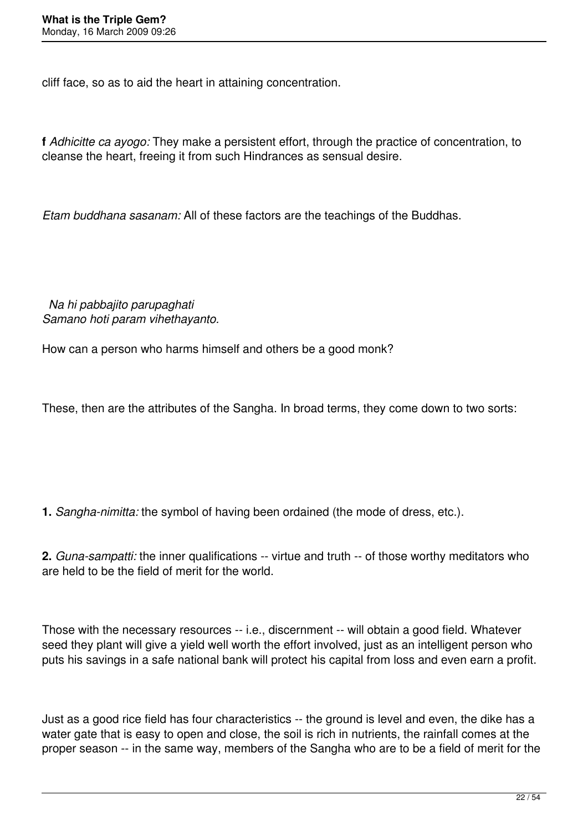cliff face, so as to aid the heart in attaining concentration.

**f** *Adhicitte ca ayogo:* They make a persistent effort, through the practice of concentration, to cleanse the heart, freeing it from such Hindrances as sensual desire.

*Etam buddhana sasanam:* All of these factors are the teachings of the Buddhas.

 *Na hi pabbajito parupaghati Samano hoti param vihethayanto.*

How can a person who harms himself and others be a good monk?

These, then are the attributes of the Sangha. In broad terms, they come down to two sorts:

**1.** *Sangha-nimitta:* the symbol of having been ordained (the mode of dress, etc.).

**2.** *Guna-sampatti:* the inner qualifications -- virtue and truth -- of those worthy meditators who are held to be the field of merit for the world.

Those with the necessary resources -- i.e., discernment -- will obtain a good field. Whatever seed they plant will give a yield well worth the effort involved, just as an intelligent person who puts his savings in a safe national bank will protect his capital from loss and even earn a profit.

Just as a good rice field has four characteristics -- the ground is level and even, the dike has a water gate that is easy to open and close, the soil is rich in nutrients, the rainfall comes at the proper season -- in the same way, members of the Sangha who are to be a field of merit for the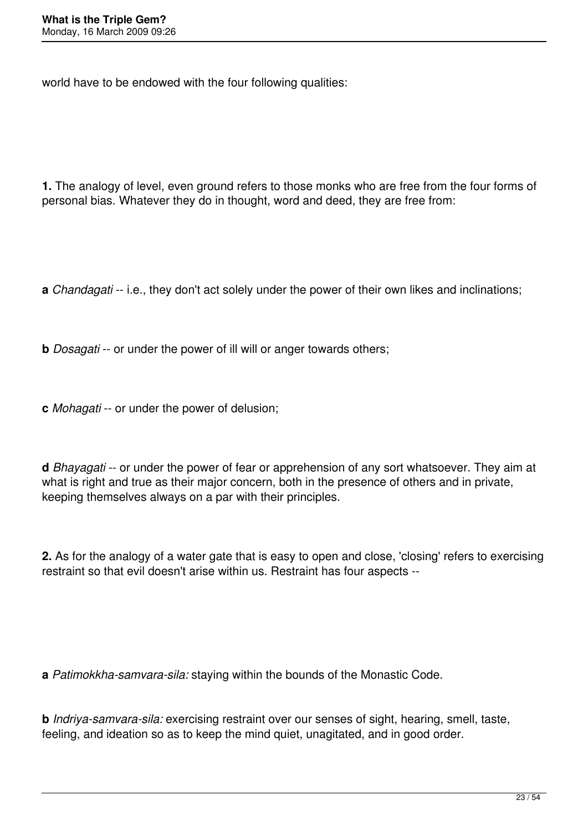world have to be endowed with the four following qualities:

**1.** The analogy of level, even ground refers to those monks who are free from the four forms of personal bias. Whatever they do in thought, word and deed, they are free from:

**a** *Chandagati* -- i.e., they don't act solely under the power of their own likes and inclinations;

- **b** *Dosagati* -- or under the power of ill will or anger towards others;
- **c** *Mohagati* -- or under the power of delusion;

**d** *Bhayagati* -- or under the power of fear or apprehension of any sort whatsoever. They aim at what is right and true as their major concern, both in the presence of others and in private, keeping themselves always on a par with their principles.

**2.** As for the analogy of a water gate that is easy to open and close, 'closing' refers to exercising restraint so that evil doesn't arise within us. Restraint has four aspects --

**a** *Patimokkha-samvara-sila:* staying within the bounds of the Monastic Code.

**b** *Indriya-samvara-sila:* exercising restraint over our senses of sight, hearing, smell, taste, feeling, and ideation so as to keep the mind quiet, unagitated, and in good order.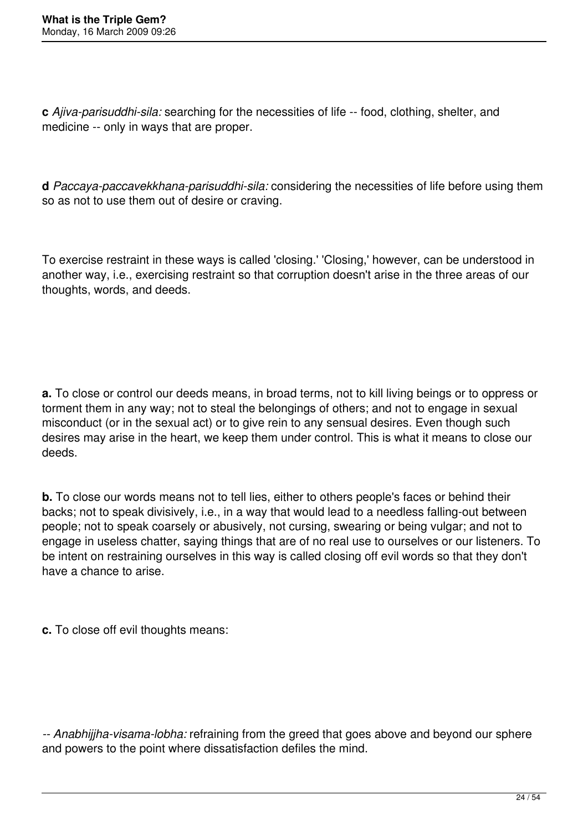**c** *Ajiva-parisuddhi-sila:* searching for the necessities of life -- food, clothing, shelter, and medicine -- only in ways that are proper.

**d** *Paccaya-paccavekkhana-parisuddhi-sila:* considering the necessities of life before using them so as not to use them out of desire or craving.

To exercise restraint in these ways is called 'closing.' 'Closing,' however, can be understood in another way, i.e., exercising restraint so that corruption doesn't arise in the three areas of our thoughts, words, and deeds.

**a.** To close or control our deeds means, in broad terms, not to kill living beings or to oppress or torment them in any way; not to steal the belongings of others; and not to engage in sexual misconduct (or in the sexual act) or to give rein to any sensual desires. Even though such desires may arise in the heart, we keep them under control. This is what it means to close our deeds.

**b.** To close our words means not to tell lies, either to others people's faces or behind their backs; not to speak divisively, i.e., in a way that would lead to a needless falling-out between people; not to speak coarsely or abusively, not cursing, swearing or being vulgar; and not to engage in useless chatter, saying things that are of no real use to ourselves or our listeners. To be intent on restraining ourselves in this way is called closing off evil words so that they don't have a chance to arise.

**c.** To close off evil thoughts means:

*-- Anabhijjha-visama-lobha:* refraining from the greed that goes above and beyond our sphere and powers to the point where dissatisfaction defiles the mind.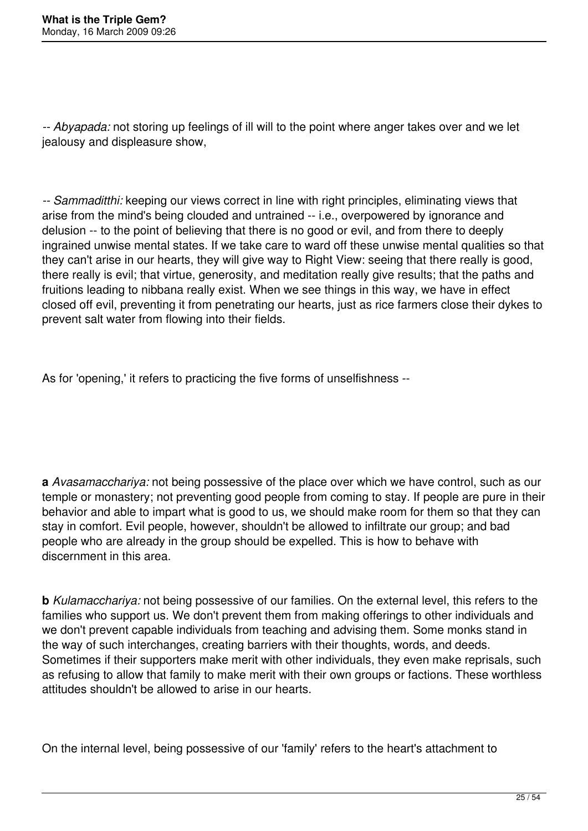*-- Abyapada:* not storing up feelings of ill will to the point where anger takes over and we let jealousy and displeasure show,

*-- Sammaditthi:* keeping our views correct in line with right principles, eliminating views that arise from the mind's being clouded and untrained -- i.e., overpowered by ignorance and delusion -- to the point of believing that there is no good or evil, and from there to deeply ingrained unwise mental states. If we take care to ward off these unwise mental qualities so that they can't arise in our hearts, they will give way to Right View: seeing that there really is good, there really is evil; that virtue, generosity, and meditation really give results; that the paths and fruitions leading to nibbana really exist. When we see things in this way, we have in effect closed off evil, preventing it from penetrating our hearts, just as rice farmers close their dykes to prevent salt water from flowing into their fields.

As for 'opening,' it refers to practicing the five forms of unselfishness --

**a** *Avasamacchariya:* not being possessive of the place over which we have control, such as our temple or monastery; not preventing good people from coming to stay. If people are pure in their behavior and able to impart what is good to us, we should make room for them so that they can stay in comfort. Evil people, however, shouldn't be allowed to infiltrate our group; and bad people who are already in the group should be expelled. This is how to behave with discernment in this area.

**b** *Kulamacchariya:* not being possessive of our families. On the external level, this refers to the families who support us. We don't prevent them from making offerings to other individuals and we don't prevent capable individuals from teaching and advising them. Some monks stand in the way of such interchanges, creating barriers with their thoughts, words, and deeds. Sometimes if their supporters make merit with other individuals, they even make reprisals, such as refusing to allow that family to make merit with their own groups or factions. These worthless attitudes shouldn't be allowed to arise in our hearts.

On the internal level, being possessive of our 'family' refers to the heart's attachment to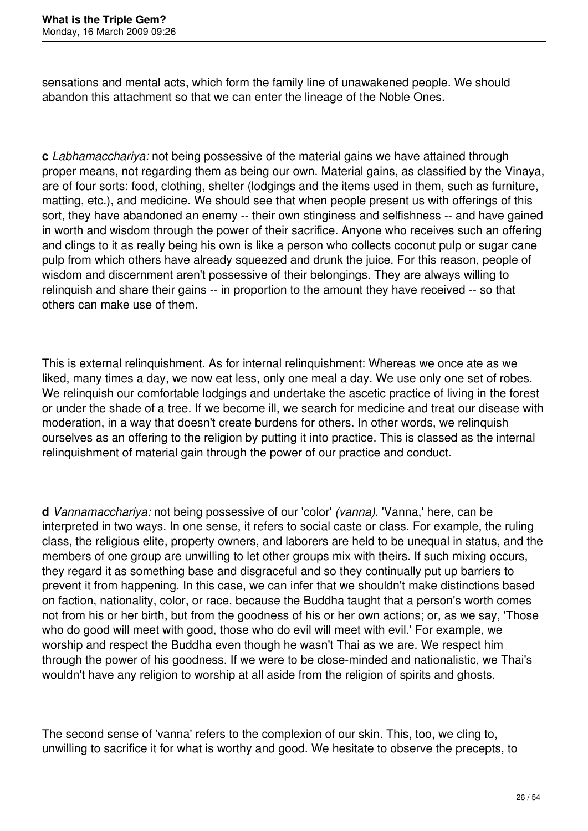sensations and mental acts, which form the family line of unawakened people. We should abandon this attachment so that we can enter the lineage of the Noble Ones.

**c** *Labhamacchariya:* not being possessive of the material gains we have attained through proper means, not regarding them as being our own. Material gains, as classified by the Vinaya, are of four sorts: food, clothing, shelter (lodgings and the items used in them, such as furniture, matting, etc.), and medicine. We should see that when people present us with offerings of this sort, they have abandoned an enemy -- their own stinginess and selfishness -- and have gained in worth and wisdom through the power of their sacrifice. Anyone who receives such an offering and clings to it as really being his own is like a person who collects coconut pulp or sugar cane pulp from which others have already squeezed and drunk the juice. For this reason, people of wisdom and discernment aren't possessive of their belongings. They are always willing to relinquish and share their gains -- in proportion to the amount they have received -- so that others can make use of them.

This is external relinquishment. As for internal relinquishment: Whereas we once ate as we liked, many times a day, we now eat less, only one meal a day. We use only one set of robes. We relinquish our comfortable lodgings and undertake the ascetic practice of living in the forest or under the shade of a tree. If we become ill, we search for medicine and treat our disease with moderation, in a way that doesn't create burdens for others. In other words, we relinquish ourselves as an offering to the religion by putting it into practice. This is classed as the internal relinquishment of material gain through the power of our practice and conduct.

**d** *Vannamacchariya:* not being possessive of our 'color' *(vanna).* 'Vanna,' here, can be interpreted in two ways. In one sense, it refers to social caste or class. For example, the ruling class, the religious elite, property owners, and laborers are held to be unequal in status, and the members of one group are unwilling to let other groups mix with theirs. If such mixing occurs, they regard it as something base and disgraceful and so they continually put up barriers to prevent it from happening. In this case, we can infer that we shouldn't make distinctions based on faction, nationality, color, or race, because the Buddha taught that a person's worth comes not from his or her birth, but from the goodness of his or her own actions; or, as we say, 'Those who do good will meet with good, those who do evil will meet with evil.' For example, we worship and respect the Buddha even though he wasn't Thai as we are. We respect him through the power of his goodness. If we were to be close-minded and nationalistic, we Thai's wouldn't have any religion to worship at all aside from the religion of spirits and ghosts.

The second sense of 'vanna' refers to the complexion of our skin. This, too, we cling to, unwilling to sacrifice it for what is worthy and good. We hesitate to observe the precepts, to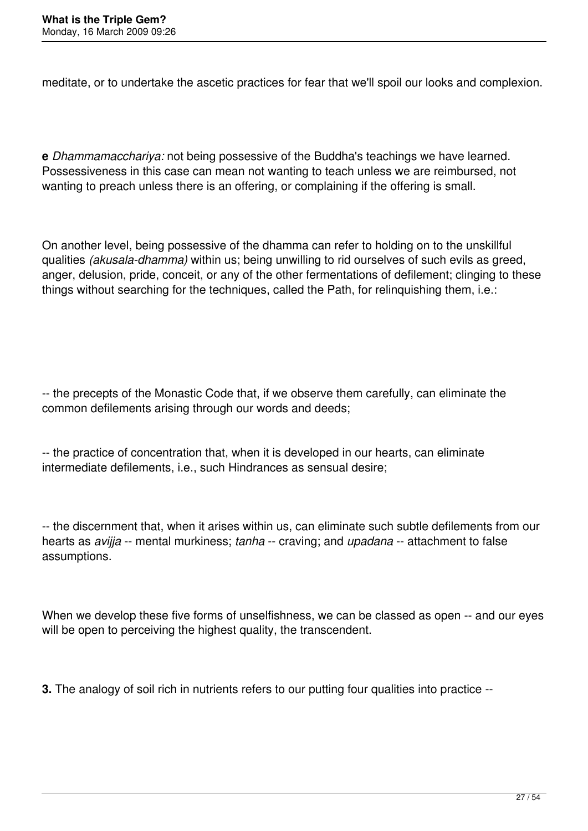meditate, or to undertake the ascetic practices for fear that we'll spoil our looks and complexion.

**e** *Dhammamacchariya:* not being possessive of the Buddha's teachings we have learned. Possessiveness in this case can mean not wanting to teach unless we are reimbursed, not wanting to preach unless there is an offering, or complaining if the offering is small.

On another level, being possessive of the dhamma can refer to holding on to the unskillful qualities *(akusala-dhamma)* within us; being unwilling to rid ourselves of such evils as greed, anger, delusion, pride, conceit, or any of the other fermentations of defilement; clinging to these things without searching for the techniques, called the Path, for relinquishing them, i.e.:

-- the precepts of the Monastic Code that, if we observe them carefully, can eliminate the common defilements arising through our words and deeds;

-- the practice of concentration that, when it is developed in our hearts, can eliminate intermediate defilements, i.e., such Hindrances as sensual desire;

-- the discernment that, when it arises within us, can eliminate such subtle defilements from our hearts as *avijja* -- mental murkiness; *tanha* -- craving; and *upadana* -- attachment to false assumptions.

When we develop these five forms of unselfishness, we can be classed as open -- and our eyes will be open to perceiving the highest quality, the transcendent.

**3.** The analogy of soil rich in nutrients refers to our putting four qualities into practice --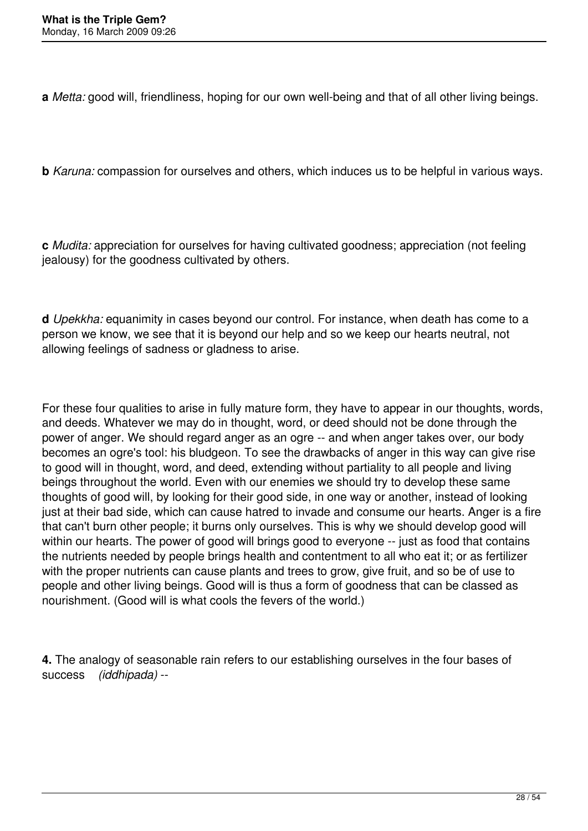**a** *Metta:* good will, friendliness, hoping for our own well-being and that of all other living beings.

**b** *Karuna:* compassion for ourselves and others, which induces us to be helpful in various ways.

**c** *Mudita:* appreciation for ourselves for having cultivated goodness; appreciation (not feeling jealousy) for the goodness cultivated by others.

**d** *Upekkha:* equanimity in cases beyond our control. For instance, when death has come to a person we know, we see that it is beyond our help and so we keep our hearts neutral, not allowing feelings of sadness or gladness to arise.

For these four qualities to arise in fully mature form, they have to appear in our thoughts, words, and deeds. Whatever we may do in thought, word, or deed should not be done through the power of anger. We should regard anger as an ogre -- and when anger takes over, our body becomes an ogre's tool: his bludgeon. To see the drawbacks of anger in this way can give rise to good will in thought, word, and deed, extending without partiality to all people and living beings throughout the world. Even with our enemies we should try to develop these same thoughts of good will, by looking for their good side, in one way or another, instead of looking just at their bad side, which can cause hatred to invade and consume our hearts. Anger is a fire that can't burn other people; it burns only ourselves. This is why we should develop good will within our hearts. The power of good will brings good to everyone -- just as food that contains the nutrients needed by people brings health and contentment to all who eat it; or as fertilizer with the proper nutrients can cause plants and trees to grow, give fruit, and so be of use to people and other living beings. Good will is thus a form of goodness that can be classed as nourishment. (Good will is what cools the fevers of the world.)

**4.** The analogy of seasonable rain refers to our establishing ourselves in the four bases of success *(iddhipada)* --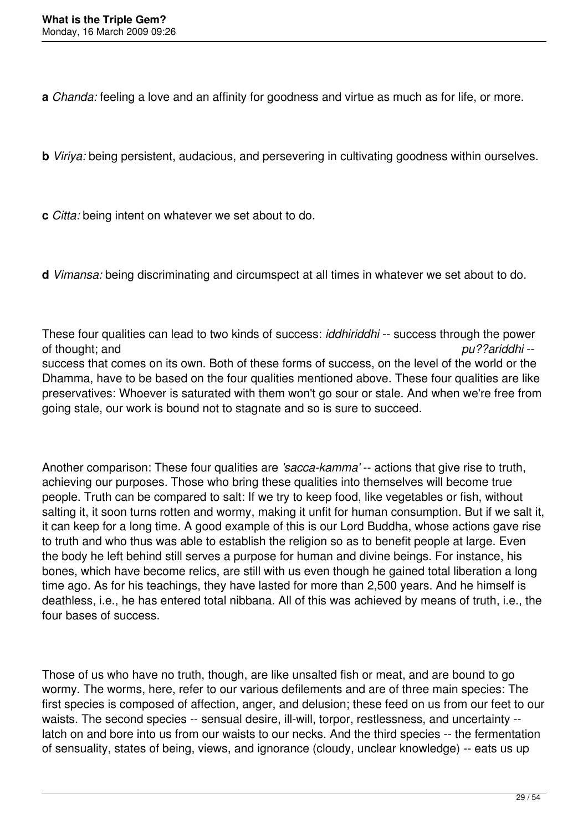**a** *Chanda:* feeling a love and an affinity for goodness and virtue as much as for life, or more.

**b** *Viriya:* being persistent, audacious, and persevering in cultivating goodness within ourselves.

**c** *Citta:* being intent on whatever we set about to do.

**d** *Vimansa:* being discriminating and circumspect at all times in whatever we set about to do.

These four qualities can lead to two kinds of success: *iddhiriddhi* -- success through the power of thought; and *pu??ariddhi* - success that comes on its own. Both of these forms of success, on the level of the world or the Dhamma, have to be based on the four qualities mentioned above. These four qualities are like preservatives: Whoever is saturated with them won't go sour or stale. And when we're free from going stale, our work is bound not to stagnate and so is sure to succeed.

Another comparison: These four qualities are *'sacca-kamma'* -- actions that give rise to truth, achieving our purposes. Those who bring these qualities into themselves will become true people. Truth can be compared to salt: If we try to keep food, like vegetables or fish, without salting it, it soon turns rotten and wormy, making it unfit for human consumption. But if we salt it, it can keep for a long time. A good example of this is our Lord Buddha, whose actions gave rise to truth and who thus was able to establish the religion so as to benefit people at large. Even the body he left behind still serves a purpose for human and divine beings. For instance, his bones, which have become relics, are still with us even though he gained total liberation a long time ago. As for his teachings, they have lasted for more than 2,500 years. And he himself is deathless, i.e., he has entered total nibbana. All of this was achieved by means of truth, i.e., the four bases of success.

Those of us who have no truth, though, are like unsalted fish or meat, and are bound to go wormy. The worms, here, refer to our various defilements and are of three main species: The first species is composed of affection, anger, and delusion; these feed on us from our feet to our waists. The second species -- sensual desire, ill-will, torpor, restlessness, and uncertainty -latch on and bore into us from our waists to our necks. And the third species -- the fermentation of sensuality, states of being, views, and ignorance (cloudy, unclear knowledge) -- eats us up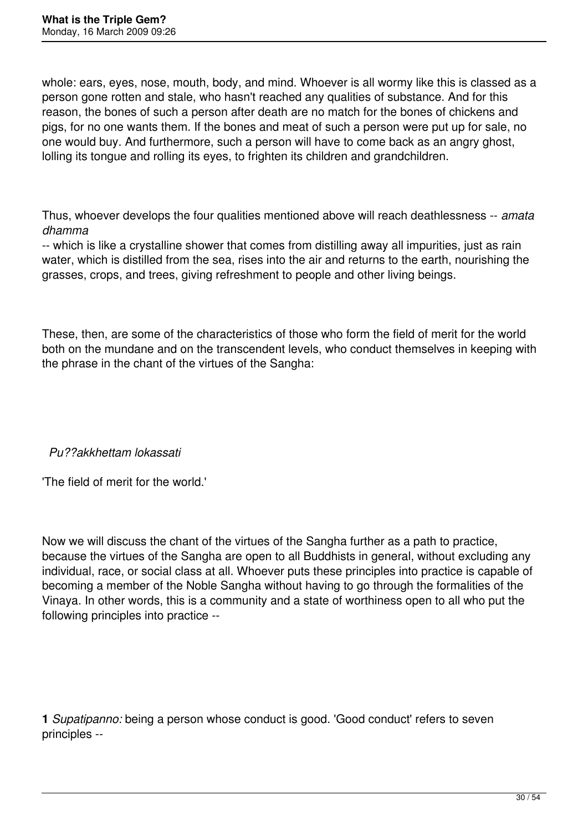whole: ears, eyes, nose, mouth, body, and mind. Whoever is all wormy like this is classed as a person gone rotten and stale, who hasn't reached any qualities of substance. And for this reason, the bones of such a person after death are no match for the bones of chickens and pigs, for no one wants them. If the bones and meat of such a person were put up for sale, no one would buy. And furthermore, such a person will have to come back as an angry ghost, lolling its tongue and rolling its eyes, to frighten its children and grandchildren.

Thus, whoever develops the four qualities mentioned above will reach deathlessness -- *amata dhamma*

-- which is like a crystalline shower that comes from distilling away all impurities, just as rain water, which is distilled from the sea, rises into the air and returns to the earth, nourishing the grasses, crops, and trees, giving refreshment to people and other living beings.

These, then, are some of the characteristics of those who form the field of merit for the world both on the mundane and on the transcendent levels, who conduct themselves in keeping with the phrase in the chant of the virtues of the Sangha:

*Pu??akkhettam lokassati*

'The field of merit for the world.'

Now we will discuss the chant of the virtues of the Sangha further as a path to practice, because the virtues of the Sangha are open to all Buddhists in general, without excluding any individual, race, or social class at all. Whoever puts these principles into practice is capable of becoming a member of the Noble Sangha without having to go through the formalities of the Vinaya. In other words, this is a community and a state of worthiness open to all who put the following principles into practice --

**1** *Supatipanno:* being a person whose conduct is good. 'Good conduct' refers to seven principles --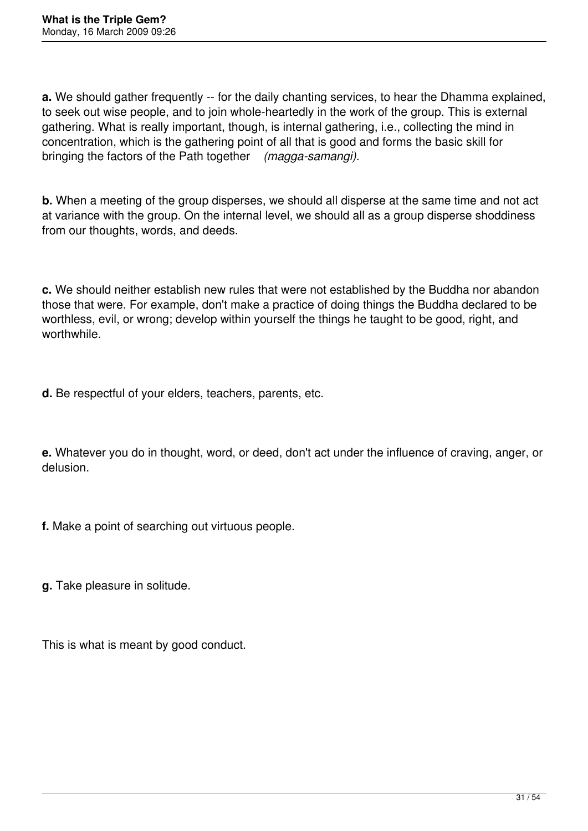**a.** We should gather frequently -- for the daily chanting services, to hear the Dhamma explained, to seek out wise people, and to join whole-heartedly in the work of the group. This is external gathering. What is really important, though, is internal gathering, i.e., collecting the mind in concentration, which is the gathering point of all that is good and forms the basic skill for bringing the factors of the Path together *(magga-samangi).*

**b.** When a meeting of the group disperses, we should all disperse at the same time and not act at variance with the group. On the internal level, we should all as a group disperse shoddiness from our thoughts, words, and deeds.

**c.** We should neither establish new rules that were not established by the Buddha nor abandon those that were. For example, don't make a practice of doing things the Buddha declared to be worthless, evil, or wrong; develop within yourself the things he taught to be good, right, and worthwhile.

**d.** Be respectful of your elders, teachers, parents, etc.

**e.** Whatever you do in thought, word, or deed, don't act under the influence of craving, anger, or delusion.

**f.** Make a point of searching out virtuous people.

**g.** Take pleasure in solitude.

This is what is meant by good conduct.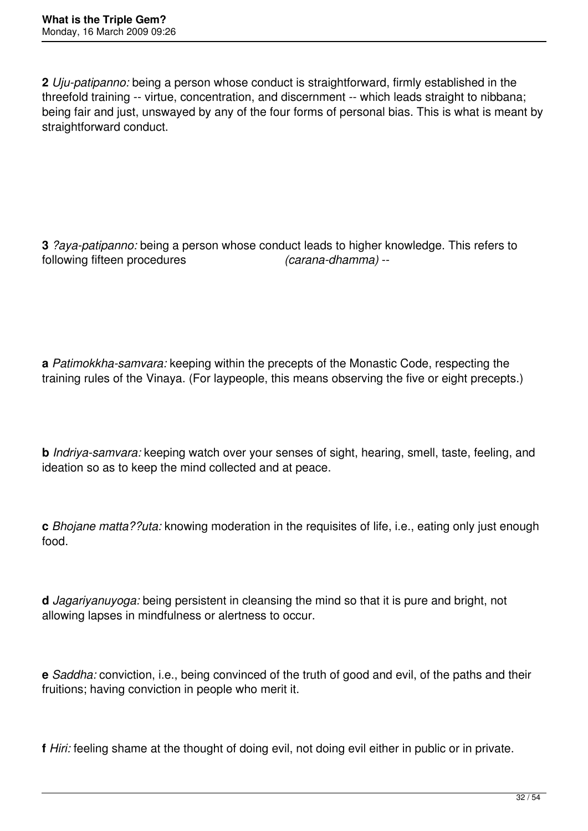**2** *Uju-patipanno:* being a person whose conduct is straightforward, firmly established in the threefold training -- virtue, concentration, and discernment -- which leads straight to nibbana; being fair and just, unswayed by any of the four forms of personal bias. This is what is meant by straightforward conduct.

**3** *?aya-patipanno:* being a person whose conduct leads to higher knowledge. This refers to following fifteen procedures *(carana-dhamma)* --

**a** *Patimokkha-samvara:* keeping within the precepts of the Monastic Code, respecting the training rules of the Vinaya. (For laypeople, this means observing the five or eight precepts.)

**b** *Indriya-samvara:* keeping watch over your senses of sight, hearing, smell, taste, feeling, and ideation so as to keep the mind collected and at peace.

**c** *Bhojane matta??uta:* knowing moderation in the requisites of life, i.e., eating only just enough food.

**d** *Jagariyanuyoga:* being persistent in cleansing the mind so that it is pure and bright, not allowing lapses in mindfulness or alertness to occur.

**e** *Saddha:* conviction, i.e., being convinced of the truth of good and evil, of the paths and their fruitions; having conviction in people who merit it.

**f** *Hiri:* feeling shame at the thought of doing evil, not doing evil either in public or in private.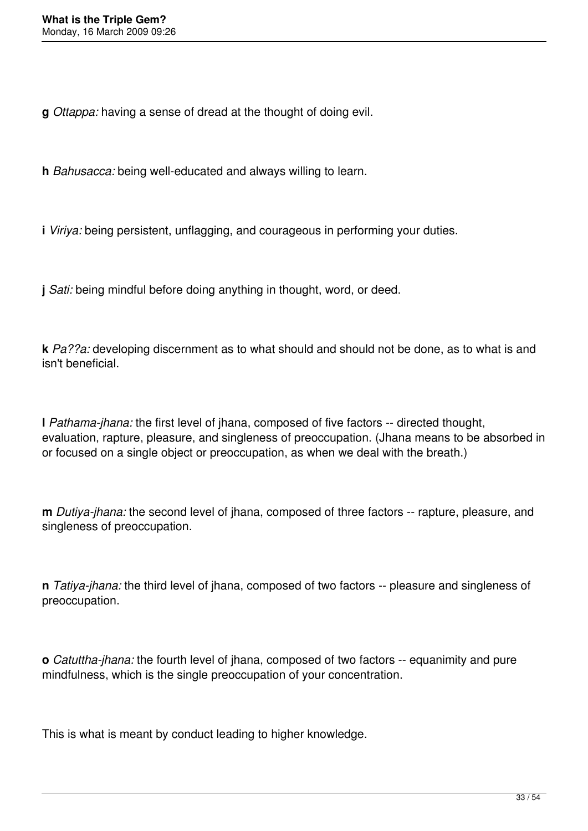**g** *Ottappa:* having a sense of dread at the thought of doing evil.

**h** *Bahusacca:* being well-educated and always willing to learn.

**i** *Viriya:* being persistent, unflagging, and courageous in performing your duties.

**j** *Sati:* being mindful before doing anything in thought, word, or deed.

**k** *Pa??a:* developing discernment as to what should and should not be done, as to what is and isn't beneficial.

**l** *Pathama-jhana:* the first level of jhana, composed of five factors -- directed thought, evaluation, rapture, pleasure, and singleness of preoccupation. (Jhana means to be absorbed in or focused on a single object or preoccupation, as when we deal with the breath.)

**m** *Dutiya-jhana:* the second level of jhana, composed of three factors -- rapture, pleasure, and singleness of preoccupation.

**n** *Tatiya-jhana:* the third level of jhana, composed of two factors -- pleasure and singleness of preoccupation.

**o** *Catuttha-jhana:* the fourth level of jhana, composed of two factors -- equanimity and pure mindfulness, which is the single preoccupation of your concentration.

This is what is meant by conduct leading to higher knowledge.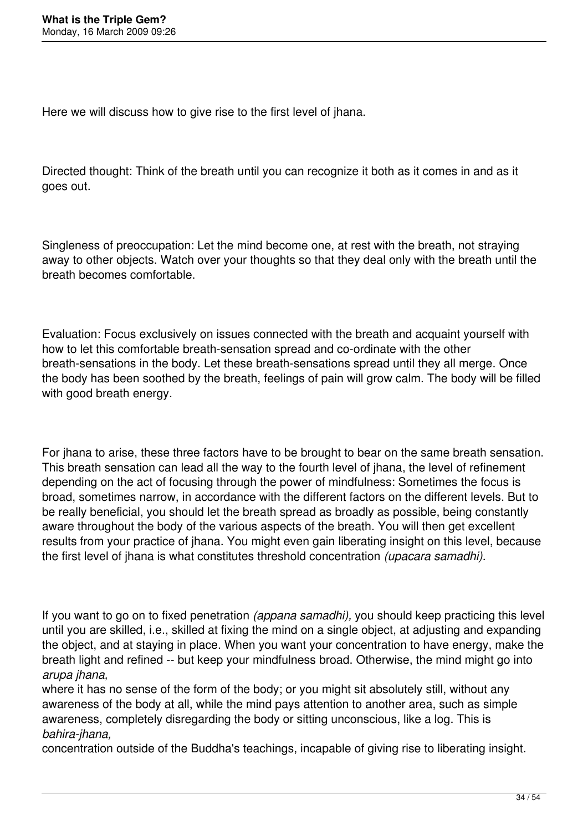Here we will discuss how to give rise to the first level of jhana.

Directed thought: Think of the breath until you can recognize it both as it comes in and as it goes out.

Singleness of preoccupation: Let the mind become one, at rest with the breath, not straying away to other objects. Watch over your thoughts so that they deal only with the breath until the breath becomes comfortable.

Evaluation: Focus exclusively on issues connected with the breath and acquaint yourself with how to let this comfortable breath-sensation spread and co-ordinate with the other breath-sensations in the body. Let these breath-sensations spread until they all merge. Once the body has been soothed by the breath, feelings of pain will grow calm. The body will be filled with good breath energy.

For jhana to arise, these three factors have to be brought to bear on the same breath sensation. This breath sensation can lead all the way to the fourth level of jhana, the level of refinement depending on the act of focusing through the power of mindfulness: Sometimes the focus is broad, sometimes narrow, in accordance with the different factors on the different levels. But to be really beneficial, you should let the breath spread as broadly as possible, being constantly aware throughout the body of the various aspects of the breath. You will then get excellent results from your practice of jhana. You might even gain liberating insight on this level, because the first level of jhana is what constitutes threshold concentration *(upacara samadhi).*

If you want to go on to fixed penetration *(appana samadhi),* you should keep practicing this level until you are skilled, i.e., skilled at fixing the mind on a single object, at adjusting and expanding the object, and at staying in place. When you want your concentration to have energy, make the breath light and refined -- but keep your mindfulness broad. Otherwise, the mind might go into *arupa jhana,*

where it has no sense of the form of the body; or you might sit absolutely still, without any awareness of the body at all, while the mind pays attention to another area, such as simple awareness, completely disregarding the body or sitting unconscious, like a log. This is *bahira-jhana,*

concentration outside of the Buddha's teachings, incapable of giving rise to liberating insight.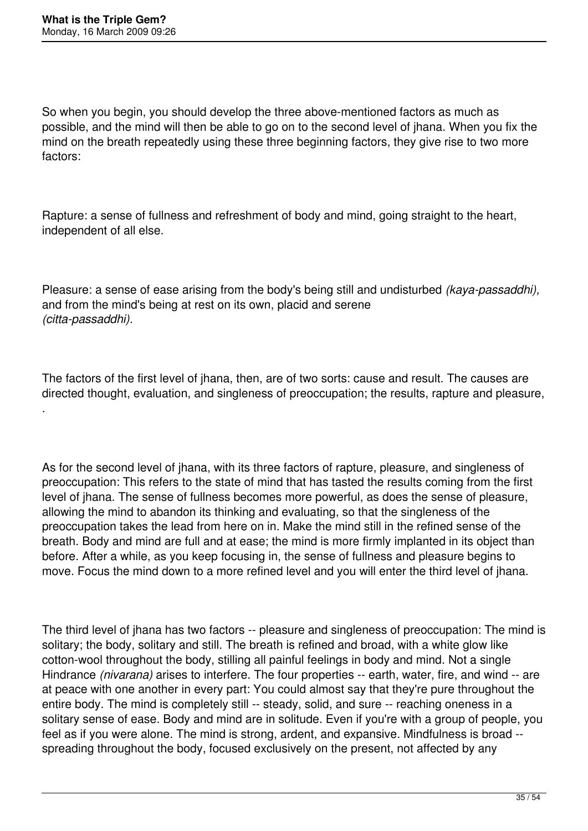.

So when you begin, you should develop the three above-mentioned factors as much as possible, and the mind will then be able to go on to the second level of jhana. When you fix the mind on the breath repeatedly using these three beginning factors, they give rise to two more factors:

Rapture: a sense of fullness and refreshment of body and mind, going straight to the heart, independent of all else.

Pleasure: a sense of ease arising from the body's being still and undisturbed *(kaya-passaddhi),* and from the mind's being at rest on its own, placid and serene *(citta-passaddhi).*

The factors of the first level of jhana, then, are of two sorts: cause and result. The causes are directed thought, evaluation, and singleness of preoccupation; the results, rapture and pleasure,

As for the second level of jhana, with its three factors of rapture, pleasure, and singleness of preoccupation: This refers to the state of mind that has tasted the results coming from the first level of jhana. The sense of fullness becomes more powerful, as does the sense of pleasure, allowing the mind to abandon its thinking and evaluating, so that the singleness of the preoccupation takes the lead from here on in. Make the mind still in the refined sense of the breath. Body and mind are full and at ease; the mind is more firmly implanted in its object than before. After a while, as you keep focusing in, the sense of fullness and pleasure begins to move. Focus the mind down to a more refined level and you will enter the third level of jhana.

The third level of jhana has two factors -- pleasure and singleness of preoccupation: The mind is solitary; the body, solitary and still. The breath is refined and broad, with a white glow like cotton-wool throughout the body, stilling all painful feelings in body and mind. Not a single Hindrance *(nivarana)* arises to interfere. The four properties -- earth, water, fire, and wind -- are at peace with one another in every part: You could almost say that they're pure throughout the entire body. The mind is completely still -- steady, solid, and sure -- reaching oneness in a solitary sense of ease. Body and mind are in solitude. Even if you're with a group of people, you feel as if you were alone. The mind is strong, ardent, and expansive. Mindfulness is broad - spreading throughout the body, focused exclusively on the present, not affected by any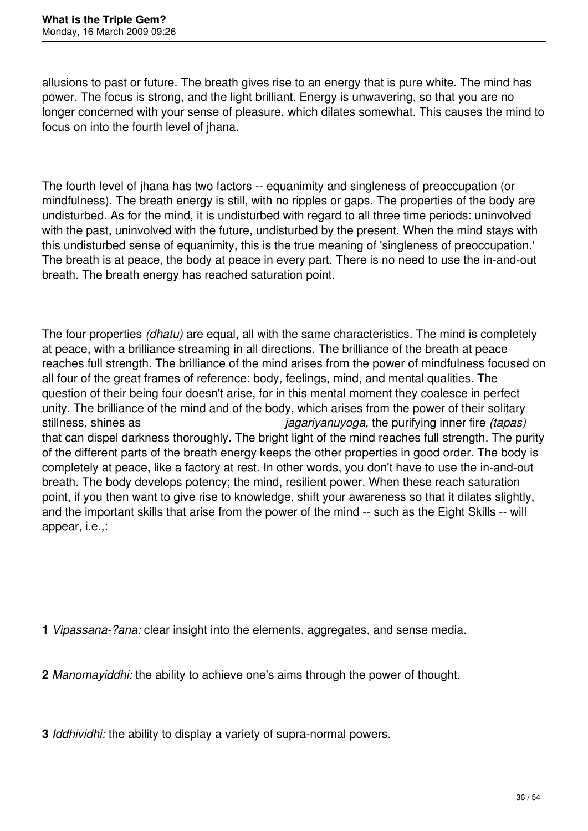allusions to past or future. The breath gives rise to an energy that is pure white. The mind has power. The focus is strong, and the light brilliant. Energy is unwavering, so that you are no longer concerned with your sense of pleasure, which dilates somewhat. This causes the mind to focus on into the fourth level of jhana.

The fourth level of jhana has two factors -- equanimity and singleness of preoccupation (or mindfulness). The breath energy is still, with no ripples or gaps. The properties of the body are undisturbed. As for the mind, it is undisturbed with regard to all three time periods: uninvolved with the past, uninvolved with the future, undisturbed by the present. When the mind stays with this undisturbed sense of equanimity, this is the true meaning of 'singleness of preoccupation.' The breath is at peace, the body at peace in every part. There is no need to use the in-and-out breath. The breath energy has reached saturation point.

The four properties *(dhatu)* are equal, all with the same characteristics. The mind is completely at peace, with a brilliance streaming in all directions. The brilliance of the breath at peace reaches full strength. The brilliance of the mind arises from the power of mindfulness focused on all four of the great frames of reference: body, feelings, mind, and mental qualities. The question of their being four doesn't arise, for in this mental moment they coalesce in perfect unity. The brilliance of the mind and of the body, which arises from the power of their solitary stillness, shines as *jagariyanuyoga,* the purifying inner fire *(tapas)* that can dispel darkness thoroughly. The bright light of the mind reaches full strength. The purity of the different parts of the breath energy keeps the other properties in good order. The body is completely at peace, like a factory at rest. In other words, you don't have to use the in-and-out breath. The body develops potency; the mind, resilient power. When these reach saturation point, if you then want to give rise to knowledge, shift your awareness so that it dilates slightly, and the important skills that arise from the power of the mind -- such as the Eight Skills -- will appear, i.e.,:

**1** *Vipassana-?ana:* clear insight into the elements, aggregates, and sense media.

**2** *Manomayiddhi:* the ability to achieve one's aims through the power of thought.

**3** *Iddhividhi:* the ability to display a variety of supra-normal powers.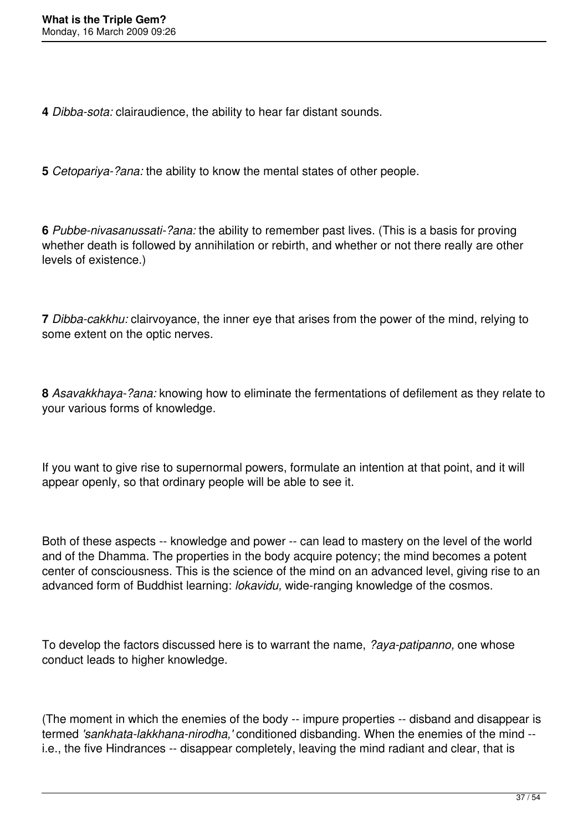**4** *Dibba-sota:* clairaudience, the ability to hear far distant sounds.

**5** *Cetopariya-?ana:* the ability to know the mental states of other people.

**6** *Pubbe-nivasanussati-?ana:* the ability to remember past lives. (This is a basis for proving whether death is followed by annihilation or rebirth, and whether or not there really are other levels of existence.)

**7** *Dibba-cakkhu:* clairvoyance, the inner eye that arises from the power of the mind, relying to some extent on the optic nerves.

**8** *Asavakkhaya-?ana:* knowing how to eliminate the fermentations of defilement as they relate to your various forms of knowledge.

If you want to give rise to supernormal powers, formulate an intention at that point, and it will appear openly, so that ordinary people will be able to see it.

Both of these aspects -- knowledge and power -- can lead to mastery on the level of the world and of the Dhamma. The properties in the body acquire potency; the mind becomes a potent center of consciousness. This is the science of the mind on an advanced level, giving rise to an advanced form of Buddhist learning: *lokavidu,* wide-ranging knowledge of the cosmos.

To develop the factors discussed here is to warrant the name, *?aya-patipanno,* one whose conduct leads to higher knowledge.

(The moment in which the enemies of the body -- impure properties -- disband and disappear is termed *'sankhata-lakkhana-nirodha,'* conditioned disbanding. When the enemies of the mind - i.e., the five Hindrances -- disappear completely, leaving the mind radiant and clear, that is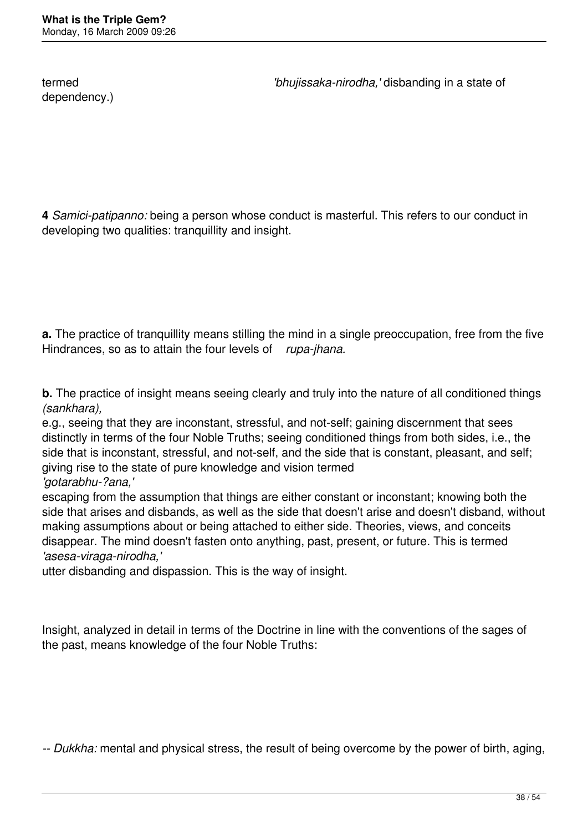dependency.)

termed *'bhujissaka-nirodha,'* disbanding in a state of

**4** *Samici-patipanno:* being a person whose conduct is masterful. This refers to our conduct in developing two qualities: tranquillity and insight.

**a.** The practice of tranquillity means stilling the mind in a single preoccupation, free from the five Hindrances, so as to attain the four levels of *rupa-jhana.*

**b.** The practice of insight means seeing clearly and truly into the nature of all conditioned things *(sankhara),*

e.g., seeing that they are inconstant, stressful, and not-self; gaining discernment that sees distinctly in terms of the four Noble Truths; seeing conditioned things from both sides, i.e., the side that is inconstant, stressful, and not-self, and the side that is constant, pleasant, and self; giving rise to the state of pure knowledge and vision termed *'gotarabhu-?ana,'*

escaping from the assumption that things are either constant or inconstant; knowing both the side that arises and disbands, as well as the side that doesn't arise and doesn't disband, without making assumptions about or being attached to either side. Theories, views, and conceits disappear. The mind doesn't fasten onto anything, past, present, or future. This is termed *'asesa-viraga-nirodha,'*

utter disbanding and dispassion. This is the way of insight.

Insight, analyzed in detail in terms of the Doctrine in line with the conventions of the sages of the past, means knowledge of the four Noble Truths:

*-- Dukkha:* mental and physical stress, the result of being overcome by the power of birth, aging,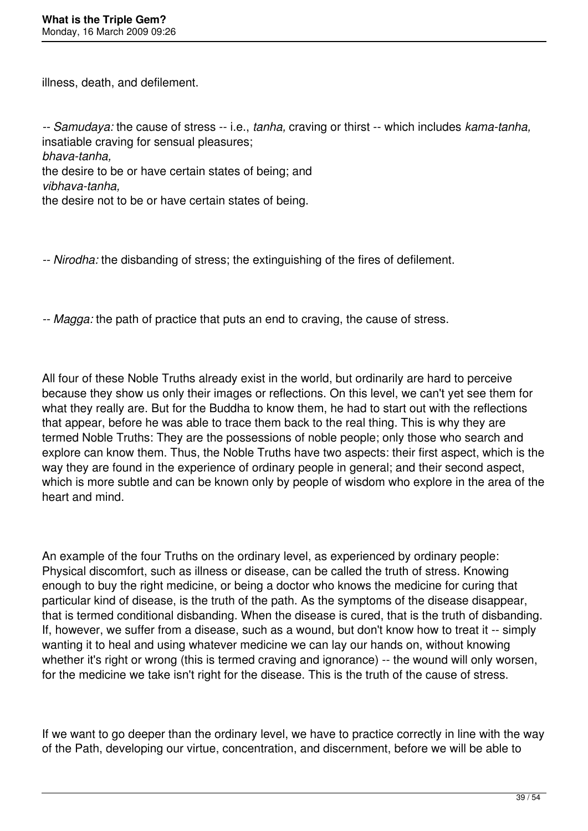illness, death, and defilement.

*-- Samudaya:* the cause of stress -- i.e., *tanha,* craving or thirst -- which includes *kama-tanha,* insatiable craving for sensual pleasures; *bhava-tanha,* the desire to be or have certain states of being; and *vibhava-tanha,* the desire not to be or have certain states of being.

*-- Nirodha:* the disbanding of stress; the extinguishing of the fires of defilement.

*-- Magga:* the path of practice that puts an end to craving, the cause of stress.

All four of these Noble Truths already exist in the world, but ordinarily are hard to perceive because they show us only their images or reflections. On this level, we can't yet see them for what they really are. But for the Buddha to know them, he had to start out with the reflections that appear, before he was able to trace them back to the real thing. This is why they are termed Noble Truths: They are the possessions of noble people; only those who search and explore can know them. Thus, the Noble Truths have two aspects: their first aspect, which is the way they are found in the experience of ordinary people in general; and their second aspect, which is more subtle and can be known only by people of wisdom who explore in the area of the heart and mind.

An example of the four Truths on the ordinary level, as experienced by ordinary people: Physical discomfort, such as illness or disease, can be called the truth of stress. Knowing enough to buy the right medicine, or being a doctor who knows the medicine for curing that particular kind of disease, is the truth of the path. As the symptoms of the disease disappear, that is termed conditional disbanding. When the disease is cured, that is the truth of disbanding. If, however, we suffer from a disease, such as a wound, but don't know how to treat it -- simply wanting it to heal and using whatever medicine we can lay our hands on, without knowing whether it's right or wrong (this is termed craving and ignorance) -- the wound will only worsen, for the medicine we take isn't right for the disease. This is the truth of the cause of stress.

If we want to go deeper than the ordinary level, we have to practice correctly in line with the way of the Path, developing our virtue, concentration, and discernment, before we will be able to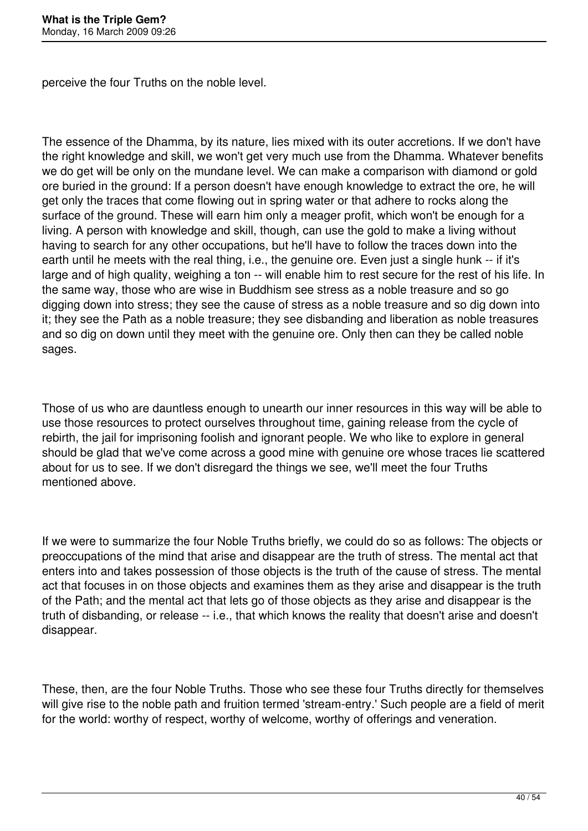perceive the four Truths on the noble level.

The essence of the Dhamma, by its nature, lies mixed with its outer accretions. If we don't have the right knowledge and skill, we won't get very much use from the Dhamma. Whatever benefits we do get will be only on the mundane level. We can make a comparison with diamond or gold ore buried in the ground: If a person doesn't have enough knowledge to extract the ore, he will get only the traces that come flowing out in spring water or that adhere to rocks along the surface of the ground. These will earn him only a meager profit, which won't be enough for a living. A person with knowledge and skill, though, can use the gold to make a living without having to search for any other occupations, but he'll have to follow the traces down into the earth until he meets with the real thing, i.e., the genuine ore. Even just a single hunk -- if it's large and of high quality, weighing a ton -- will enable him to rest secure for the rest of his life. In the same way, those who are wise in Buddhism see stress as a noble treasure and so go digging down into stress; they see the cause of stress as a noble treasure and so dig down into it; they see the Path as a noble treasure; they see disbanding and liberation as noble treasures and so dig on down until they meet with the genuine ore. Only then can they be called noble sages.

Those of us who are dauntless enough to unearth our inner resources in this way will be able to use those resources to protect ourselves throughout time, gaining release from the cycle of rebirth, the jail for imprisoning foolish and ignorant people. We who like to explore in general should be glad that we've come across a good mine with genuine ore whose traces lie scattered about for us to see. If we don't disregard the things we see, we'll meet the four Truths mentioned above.

If we were to summarize the four Noble Truths briefly, we could do so as follows: The objects or preoccupations of the mind that arise and disappear are the truth of stress. The mental act that enters into and takes possession of those objects is the truth of the cause of stress. The mental act that focuses in on those objects and examines them as they arise and disappear is the truth of the Path; and the mental act that lets go of those objects as they arise and disappear is the truth of disbanding, or release -- i.e., that which knows the reality that doesn't arise and doesn't disappear.

These, then, are the four Noble Truths. Those who see these four Truths directly for themselves will give rise to the noble path and fruition termed 'stream-entry.' Such people are a field of merit for the world: worthy of respect, worthy of welcome, worthy of offerings and veneration.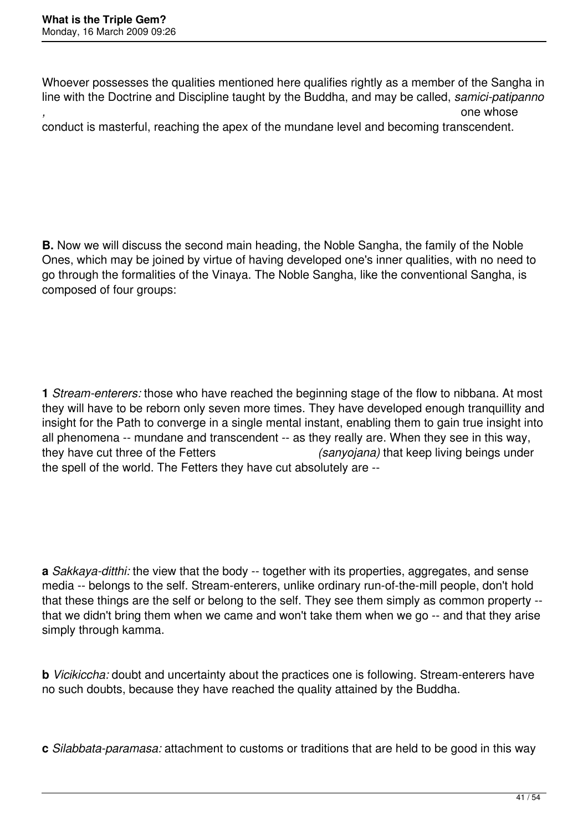Whoever possesses the qualities mentioned here qualifies rightly as a member of the Sangha in line with the Doctrine and Discipline taught by the Buddha, and may be called, *samici-patipanno ,* one whose  $\sim$  one whose  $\sim$ 

conduct is masterful, reaching the apex of the mundane level and becoming transcendent.

**B.** Now we will discuss the second main heading, the Noble Sangha, the family of the Noble Ones, which may be joined by virtue of having developed one's inner qualities, with no need to go through the formalities of the Vinaya. The Noble Sangha, like the conventional Sangha, is composed of four groups:

**1** *Stream-enterers:* those who have reached the beginning stage of the flow to nibbana. At most they will have to be reborn only seven more times. They have developed enough tranquillity and insight for the Path to converge in a single mental instant, enabling them to gain true insight into all phenomena -- mundane and transcendent -- as they really are. When they see in this way, they have cut three of the Fetters *(sanyojana)* that keep living beings under the spell of the world. The Fetters they have cut absolutely are --

**a** *Sakkaya-ditthi:* the view that the body -- together with its properties, aggregates, and sense media -- belongs to the self. Stream-enterers, unlike ordinary run-of-the-mill people, don't hold that these things are the self or belong to the self. They see them simply as common property - that we didn't bring them when we came and won't take them when we go -- and that they arise simply through kamma.

**b** *Vicikiccha:* doubt and uncertainty about the practices one is following. Stream-enterers have no such doubts, because they have reached the quality attained by the Buddha.

**c** *Silabbata-paramasa:* attachment to customs or traditions that are held to be good in this way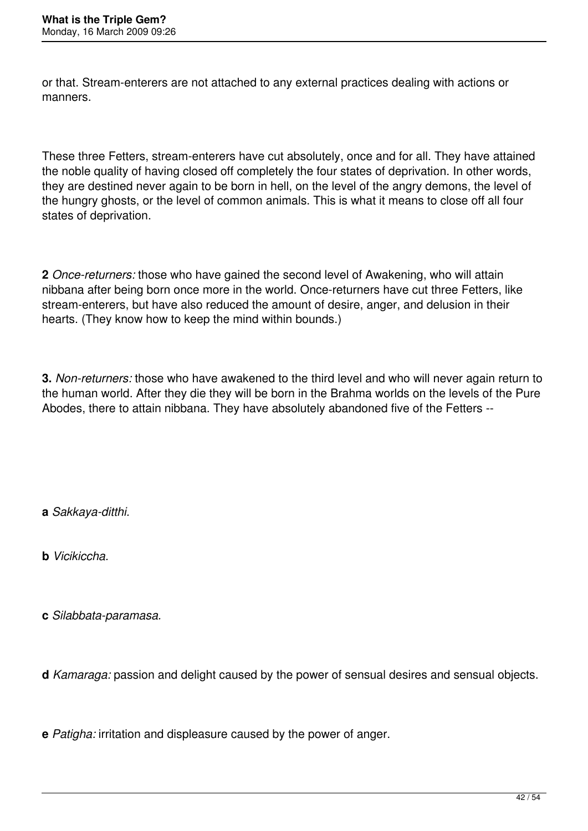or that. Stream-enterers are not attached to any external practices dealing with actions or manners.

These three Fetters, stream-enterers have cut absolutely, once and for all. They have attained the noble quality of having closed off completely the four states of deprivation. In other words, they are destined never again to be born in hell, on the level of the angry demons, the level of the hungry ghosts, or the level of common animals. This is what it means to close off all four states of deprivation.

**2** *Once-returners:* those who have gained the second level of Awakening, who will attain nibbana after being born once more in the world. Once-returners have cut three Fetters, like stream-enterers, but have also reduced the amount of desire, anger, and delusion in their hearts. (They know how to keep the mind within bounds.)

**3.** *Non-returners:* those who have awakened to the third level and who will never again return to the human world. After they die they will be born in the Brahma worlds on the levels of the Pure Abodes, there to attain nibbana. They have absolutely abandoned five of the Fetters --

**a** *Sakkaya-ditthi.*

**b** *Vicikiccha.*

**c** *Silabbata-paramasa.*

**d** *Kamaraga:* passion and delight caused by the power of sensual desires and sensual objects.

**e** *Patigha:* irritation and displeasure caused by the power of anger.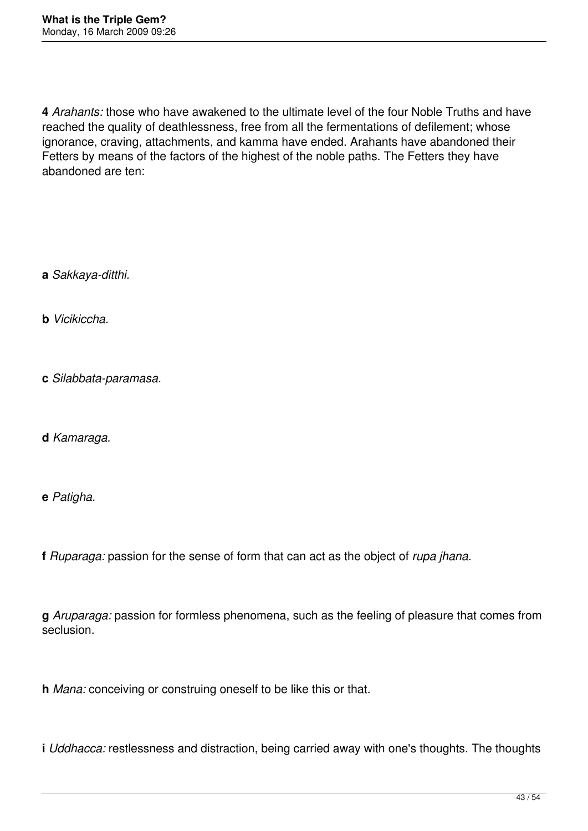**4** *Arahants:* those who have awakened to the ultimate level of the four Noble Truths and have reached the quality of deathlessness, free from all the fermentations of defilement; whose ignorance, craving, attachments, and kamma have ended. Arahants have abandoned their Fetters by means of the factors of the highest of the noble paths. The Fetters they have abandoned are ten:

**a** *Sakkaya-ditthi.*

**b** *Vicikiccha.*

**c** *Silabbata-paramasa.*

**d** *Kamaraga.*

**e** *Patigha.*

**f** *Ruparaga:* passion for the sense of form that can act as the object of *rupa jhana.*

**g** *Aruparaga:* passion for formless phenomena, such as the feeling of pleasure that comes from seclusion.

**h** *Mana:* conceiving or construing oneself to be like this or that.

**i** *Uddhacca:* restlessness and distraction, being carried away with one's thoughts. The thoughts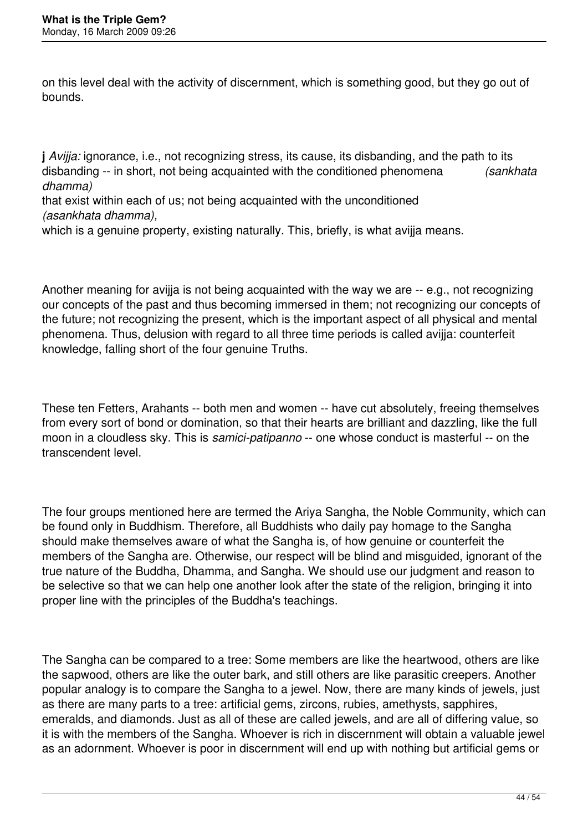on this level deal with the activity of discernment, which is something good, but they go out of bounds.

**j** *Avijja:* ignorance, i.e., not recognizing stress, its cause, its disbanding, and the path to its disbanding -- in short, not being acquainted with the conditioned phenomena *(sankhata dhamma)*

that exist within each of us; not being acquainted with the unconditioned *(asankhata dhamma),*

which is a genuine property, existing naturally. This, briefly, is what avijia means.

Another meaning for avijja is not being acquainted with the way we are -- e.g., not recognizing our concepts of the past and thus becoming immersed in them; not recognizing our concepts of the future; not recognizing the present, which is the important aspect of all physical and mental phenomena. Thus, delusion with regard to all three time periods is called avijja: counterfeit knowledge, falling short of the four genuine Truths.

These ten Fetters, Arahants -- both men and women -- have cut absolutely, freeing themselves from every sort of bond or domination, so that their hearts are brilliant and dazzling, like the full moon in a cloudless sky. This is *samici-patipanno* -- one whose conduct is masterful -- on the transcendent level.

The four groups mentioned here are termed the Ariya Sangha, the Noble Community, which can be found only in Buddhism. Therefore, all Buddhists who daily pay homage to the Sangha should make themselves aware of what the Sangha is, of how genuine or counterfeit the members of the Sangha are. Otherwise, our respect will be blind and misguided, ignorant of the true nature of the Buddha, Dhamma, and Sangha. We should use our judgment and reason to be selective so that we can help one another look after the state of the religion, bringing it into proper line with the principles of the Buddha's teachings.

The Sangha can be compared to a tree: Some members are like the heartwood, others are like the sapwood, others are like the outer bark, and still others are like parasitic creepers. Another popular analogy is to compare the Sangha to a jewel. Now, there are many kinds of jewels, just as there are many parts to a tree: artificial gems, zircons, rubies, amethysts, sapphires, emeralds, and diamonds. Just as all of these are called jewels, and are all of differing value, so it is with the members of the Sangha. Whoever is rich in discernment will obtain a valuable jewel as an adornment. Whoever is poor in discernment will end up with nothing but artificial gems or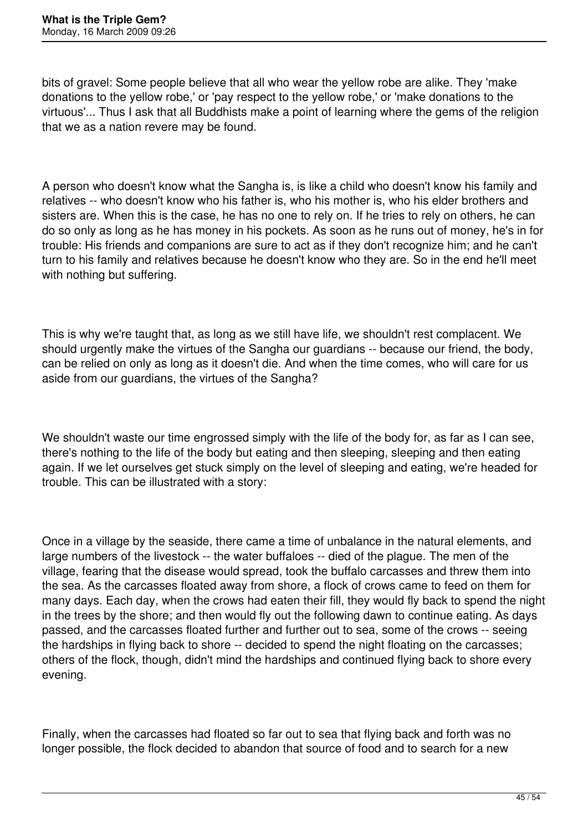bits of gravel: Some people believe that all who wear the yellow robe are alike. They 'make donations to the yellow robe,' or 'pay respect to the yellow robe,' or 'make donations to the virtuous'... Thus I ask that all Buddhists make a point of learning where the gems of the religion that we as a nation revere may be found.

A person who doesn't know what the Sangha is, is like a child who doesn't know his family and relatives -- who doesn't know who his father is, who his mother is, who his elder brothers and sisters are. When this is the case, he has no one to rely on. If he tries to rely on others, he can do so only as long as he has money in his pockets. As soon as he runs out of money, he's in for trouble: His friends and companions are sure to act as if they don't recognize him; and he can't turn to his family and relatives because he doesn't know who they are. So in the end he'll meet with nothing but suffering.

This is why we're taught that, as long as we still have life, we shouldn't rest complacent. We should urgently make the virtues of the Sangha our guardians -- because our friend, the body, can be relied on only as long as it doesn't die. And when the time comes, who will care for us aside from our guardians, the virtues of the Sangha?

We shouldn't waste our time engrossed simply with the life of the body for, as far as I can see, there's nothing to the life of the body but eating and then sleeping, sleeping and then eating again. If we let ourselves get stuck simply on the level of sleeping and eating, we're headed for trouble. This can be illustrated with a story:

Once in a village by the seaside, there came a time of unbalance in the natural elements, and large numbers of the livestock -- the water buffaloes -- died of the plague. The men of the village, fearing that the disease would spread, took the buffalo carcasses and threw them into the sea. As the carcasses floated away from shore, a flock of crows came to feed on them for many days. Each day, when the crows had eaten their fill, they would fly back to spend the night in the trees by the shore; and then would fly out the following dawn to continue eating. As days passed, and the carcasses floated further and further out to sea, some of the crows -- seeing the hardships in flying back to shore -- decided to spend the night floating on the carcasses; others of the flock, though, didn't mind the hardships and continued flying back to shore every evening.

Finally, when the carcasses had floated so far out to sea that flying back and forth was no longer possible, the flock decided to abandon that source of food and to search for a new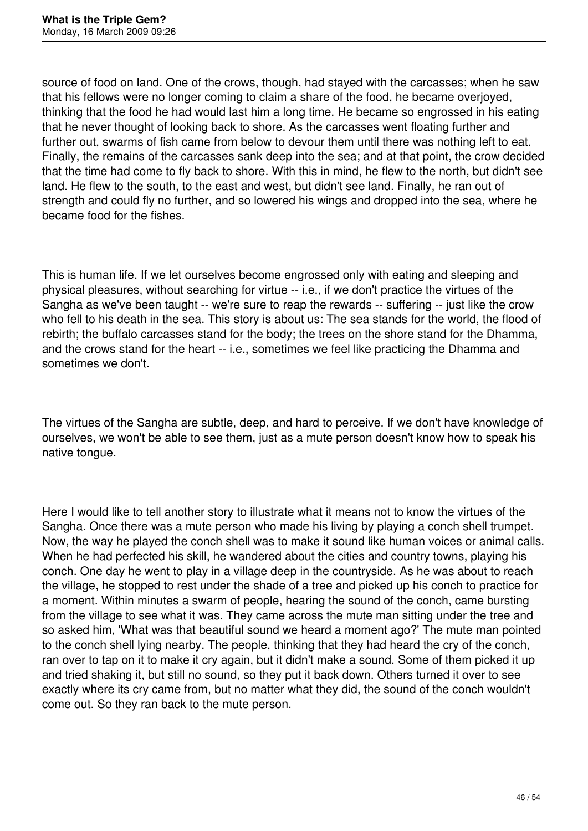source of food on land. One of the crows, though, had stayed with the carcasses; when he saw that his fellows were no longer coming to claim a share of the food, he became overjoyed, thinking that the food he had would last him a long time. He became so engrossed in his eating that he never thought of looking back to shore. As the carcasses went floating further and further out, swarms of fish came from below to devour them until there was nothing left to eat. Finally, the remains of the carcasses sank deep into the sea; and at that point, the crow decided that the time had come to fly back to shore. With this in mind, he flew to the north, but didn't see land. He flew to the south, to the east and west, but didn't see land. Finally, he ran out of strength and could fly no further, and so lowered his wings and dropped into the sea, where he became food for the fishes.

This is human life. If we let ourselves become engrossed only with eating and sleeping and physical pleasures, without searching for virtue -- i.e., if we don't practice the virtues of the Sangha as we've been taught -- we're sure to reap the rewards -- suffering -- just like the crow who fell to his death in the sea. This story is about us: The sea stands for the world, the flood of rebirth; the buffalo carcasses stand for the body; the trees on the shore stand for the Dhamma, and the crows stand for the heart -- i.e., sometimes we feel like practicing the Dhamma and sometimes we don't.

The virtues of the Sangha are subtle, deep, and hard to perceive. If we don't have knowledge of ourselves, we won't be able to see them, just as a mute person doesn't know how to speak his native tongue.

Here I would like to tell another story to illustrate what it means not to know the virtues of the Sangha. Once there was a mute person who made his living by playing a conch shell trumpet. Now, the way he played the conch shell was to make it sound like human voices or animal calls. When he had perfected his skill, he wandered about the cities and country towns, playing his conch. One day he went to play in a village deep in the countryside. As he was about to reach the village, he stopped to rest under the shade of a tree and picked up his conch to practice for a moment. Within minutes a swarm of people, hearing the sound of the conch, came bursting from the village to see what it was. They came across the mute man sitting under the tree and so asked him, 'What was that beautiful sound we heard a moment ago?' The mute man pointed to the conch shell lying nearby. The people, thinking that they had heard the cry of the conch, ran over to tap on it to make it cry again, but it didn't make a sound. Some of them picked it up and tried shaking it, but still no sound, so they put it back down. Others turned it over to see exactly where its cry came from, but no matter what they did, the sound of the conch wouldn't come out. So they ran back to the mute person.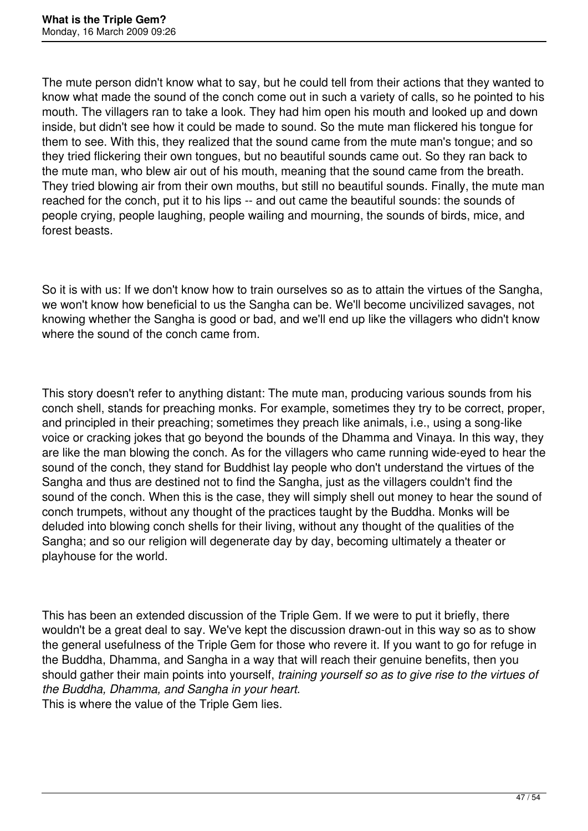The mute person didn't know what to say, but he could tell from their actions that they wanted to know what made the sound of the conch come out in such a variety of calls, so he pointed to his mouth. The villagers ran to take a look. They had him open his mouth and looked up and down inside, but didn't see how it could be made to sound. So the mute man flickered his tongue for them to see. With this, they realized that the sound came from the mute man's tongue; and so they tried flickering their own tongues, but no beautiful sounds came out. So they ran back to the mute man, who blew air out of his mouth, meaning that the sound came from the breath. They tried blowing air from their own mouths, but still no beautiful sounds. Finally, the mute man reached for the conch, put it to his lips -- and out came the beautiful sounds: the sounds of people crying, people laughing, people wailing and mourning, the sounds of birds, mice, and forest beasts.

So it is with us: If we don't know how to train ourselves so as to attain the virtues of the Sangha, we won't know how beneficial to us the Sangha can be. We'll become uncivilized savages, not knowing whether the Sangha is good or bad, and we'll end up like the villagers who didn't know where the sound of the conch came from.

This story doesn't refer to anything distant: The mute man, producing various sounds from his conch shell, stands for preaching monks. For example, sometimes they try to be correct, proper, and principled in their preaching; sometimes they preach like animals, i.e., using a song-like voice or cracking jokes that go beyond the bounds of the Dhamma and Vinaya. In this way, they are like the man blowing the conch. As for the villagers who came running wide-eyed to hear the sound of the conch, they stand for Buddhist lay people who don't understand the virtues of the Sangha and thus are destined not to find the Sangha, just as the villagers couldn't find the sound of the conch. When this is the case, they will simply shell out money to hear the sound of conch trumpets, without any thought of the practices taught by the Buddha. Monks will be deluded into blowing conch shells for their living, without any thought of the qualities of the Sangha; and so our religion will degenerate day by day, becoming ultimately a theater or playhouse for the world.

This has been an extended discussion of the Triple Gem. If we were to put it briefly, there wouldn't be a great deal to say. We've kept the discussion drawn-out in this way so as to show the general usefulness of the Triple Gem for those who revere it. If you want to go for refuge in the Buddha, Dhamma, and Sangha in a way that will reach their genuine benefits, then you should gather their main points into yourself, *training yourself so as to give rise to the virtues of the Buddha, Dhamma, and Sangha in your heart.*

This is where the value of the Triple Gem lies.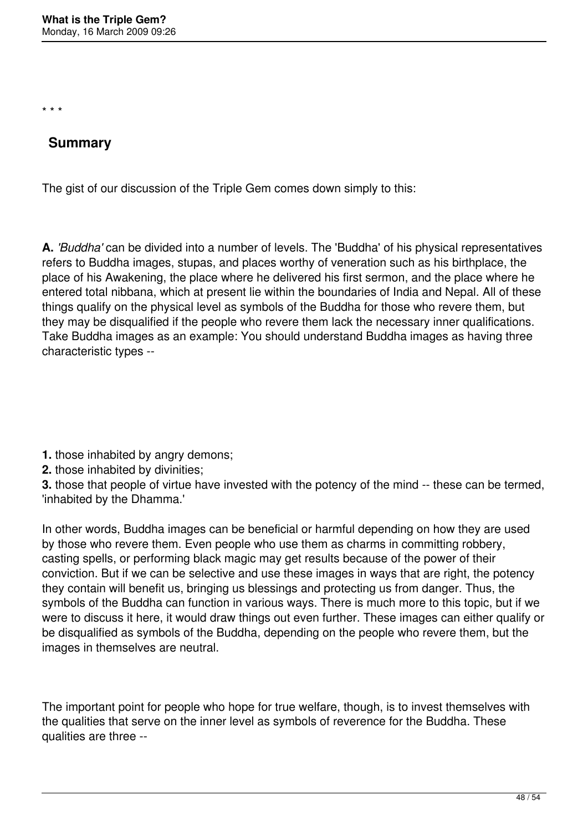\* \* \*

# **Summary**

The gist of our discussion of the Triple Gem comes down simply to this:

**A.** *'Buddha'* can be divided into a number of levels. The 'Buddha' of his physical representatives refers to Buddha images, stupas, and places worthy of veneration such as his birthplace, the place of his Awakening, the place where he delivered his first sermon, and the place where he entered total nibbana, which at present lie within the boundaries of India and Nepal. All of these things qualify on the physical level as symbols of the Buddha for those who revere them, but they may be disqualified if the people who revere them lack the necessary inner qualifications. Take Buddha images as an example: You should understand Buddha images as having three characteristic types --

**1.** those inhabited by angry demons;

**2.** those inhabited by divinities;

**3.** those that people of virtue have invested with the potency of the mind -- these can be termed, 'inhabited by the Dhamma.'

In other words, Buddha images can be beneficial or harmful depending on how they are used by those who revere them. Even people who use them as charms in committing robbery, casting spells, or performing black magic may get results because of the power of their conviction. But if we can be selective and use these images in ways that are right, the potency they contain will benefit us, bringing us blessings and protecting us from danger. Thus, the symbols of the Buddha can function in various ways. There is much more to this topic, but if we were to discuss it here, it would draw things out even further. These images can either qualify or be disqualified as symbols of the Buddha, depending on the people who revere them, but the images in themselves are neutral.

The important point for people who hope for true welfare, though, is to invest themselves with the qualities that serve on the inner level as symbols of reverence for the Buddha. These qualities are three --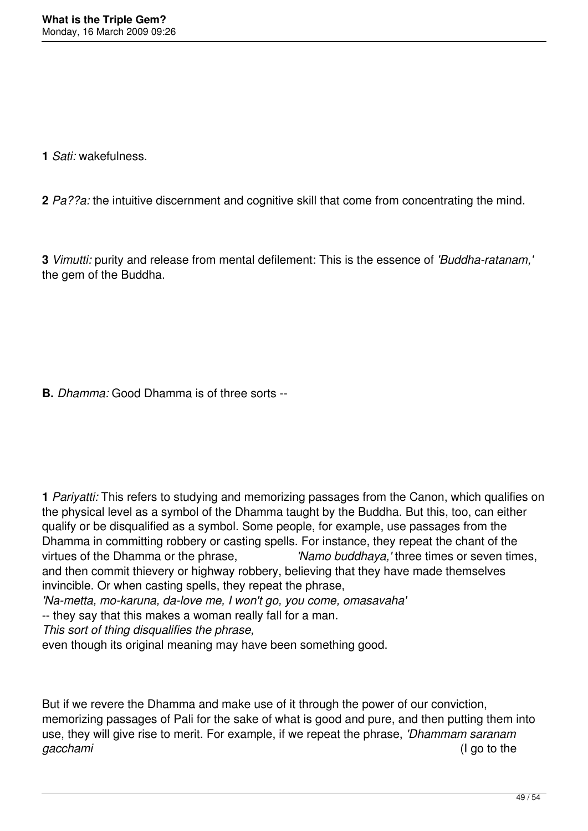**1** *Sati:* wakefulness.

**2** *Pa??a:* the intuitive discernment and cognitive skill that come from concentrating the mind.

**3** *Vimutti:* purity and release from mental defilement: This is the essence of *'Buddha-ratanam,'* the gem of the Buddha.

**B.** *Dhamma:* Good Dhamma is of three sorts --

**1** *Pariyatti:* This refers to studying and memorizing passages from the Canon, which qualifies on the physical level as a symbol of the Dhamma taught by the Buddha. But this, too, can either qualify or be disqualified as a symbol. Some people, for example, use passages from the Dhamma in committing robbery or casting spells. For instance, they repeat the chant of the virtues of the Dhamma or the phrase, *'Namo buddhaya,'* three times or seven times, and then commit thievery or highway robbery, believing that they have made themselves invincible. Or when casting spells, they repeat the phrase,

*'Na-metta, mo-karuna, da-love me, I won't go, you come, omasavaha'*

-- they say that this makes a woman really fall for a man.

*This sort of thing disqualifies the phrase,*

even though its original meaning may have been something good.

But if we revere the Dhamma and make use of it through the power of our conviction, memorizing passages of Pali for the sake of what is good and pure, and then putting them into use, they will give rise to merit. For example, if we repeat the phrase, *'Dhammam saranam gacchami* (I go to the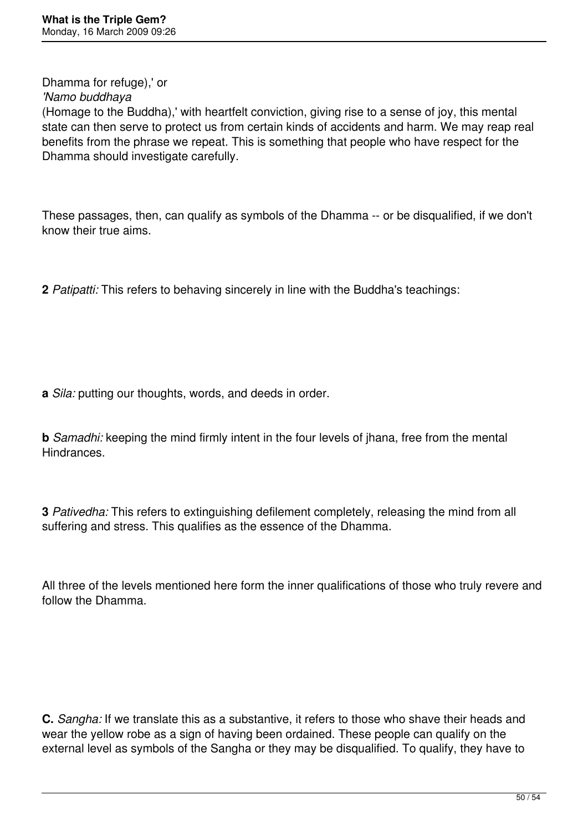Dhamma for refuge),' or

*'Namo buddhaya*

(Homage to the Buddha),' with heartfelt conviction, giving rise to a sense of joy, this mental state can then serve to protect us from certain kinds of accidents and harm. We may reap real benefits from the phrase we repeat. This is something that people who have respect for the Dhamma should investigate carefully.

These passages, then, can qualify as symbols of the Dhamma -- or be disqualified, if we don't know their true aims.

**2** *Patipatti:* This refers to behaving sincerely in line with the Buddha's teachings:

**a** *Sila:* putting our thoughts, words, and deeds in order.

**b** *Samadhi:* keeping the mind firmly intent in the four levels of jhana, free from the mental Hindrances.

**3** *Pativedha:* This refers to extinguishing defilement completely, releasing the mind from all suffering and stress. This qualifies as the essence of the Dhamma.

All three of the levels mentioned here form the inner qualifications of those who truly revere and follow the Dhamma.

**C.** *Sangha:* If we translate this as a substantive, it refers to those who shave their heads and wear the yellow robe as a sign of having been ordained. These people can qualify on the external level as symbols of the Sangha or they may be disqualified. To qualify, they have to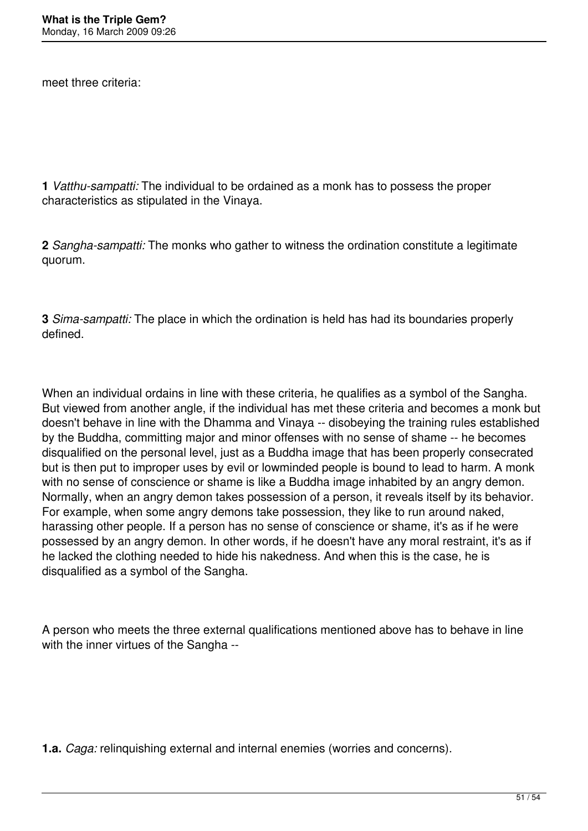meet three criteria:

**1** *Vatthu-sampatti:* The individual to be ordained as a monk has to possess the proper characteristics as stipulated in the Vinaya.

**2** *Sangha-sampatti:* The monks who gather to witness the ordination constitute a legitimate quorum.

**3** *Sima-sampatti:* The place in which the ordination is held has had its boundaries properly defined.

When an individual ordains in line with these criteria, he qualifies as a symbol of the Sangha. But viewed from another angle, if the individual has met these criteria and becomes a monk but doesn't behave in line with the Dhamma and Vinaya -- disobeying the training rules established by the Buddha, committing major and minor offenses with no sense of shame -- he becomes disqualified on the personal level, just as a Buddha image that has been properly consecrated but is then put to improper uses by evil or lowminded people is bound to lead to harm. A monk with no sense of conscience or shame is like a Buddha image inhabited by an angry demon. Normally, when an angry demon takes possession of a person, it reveals itself by its behavior. For example, when some angry demons take possession, they like to run around naked, harassing other people. If a person has no sense of conscience or shame, it's as if he were possessed by an angry demon. In other words, if he doesn't have any moral restraint, it's as if he lacked the clothing needed to hide his nakedness. And when this is the case, he is disqualified as a symbol of the Sangha.

A person who meets the three external qualifications mentioned above has to behave in line with the inner virtues of the Sangha --

**1.a.** *Caga:* relinquishing external and internal enemies (worries and concerns).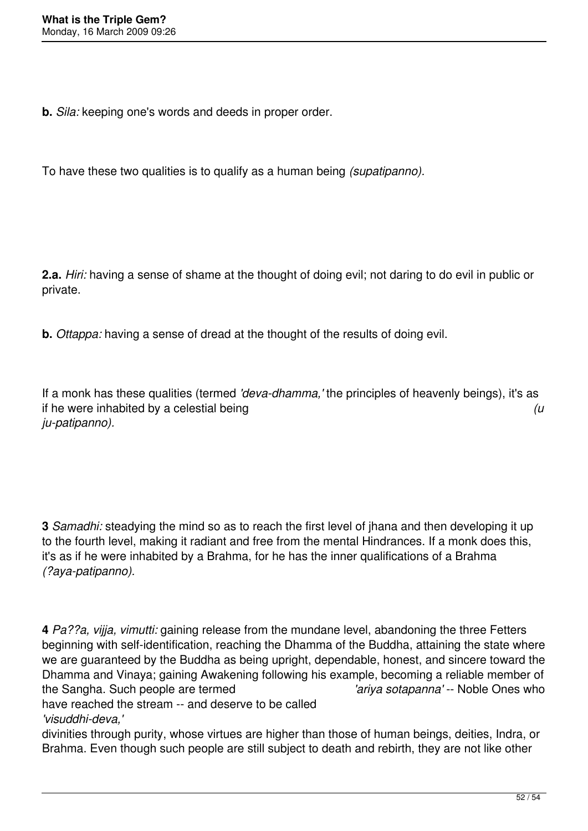**b.** *Sila:* keeping one's words and deeds in proper order.

To have these two qualities is to qualify as a human being *(supatipanno).*

**2.a.** *Hiri:* having a sense of shame at the thought of doing evil; not daring to do evil in public or private.

**b.** *Ottappa:* having a sense of dread at the thought of the results of doing evil.

If a monk has these qualities (termed *'deva-dhamma,'* the principles of heavenly beings), it's as if he were inhabited by a celestial being *(u ju-patipanno).*

**3** *Samadhi:* steadying the mind so as to reach the first level of jhana and then developing it up to the fourth level, making it radiant and free from the mental Hindrances. If a monk does this, it's as if he were inhabited by a Brahma, for he has the inner qualifications of a Brahma *(?aya-patipanno).*

**4** *Pa??a, vijja, vimutti:* gaining release from the mundane level, abandoning the three Fetters beginning with self-identification, reaching the Dhamma of the Buddha, attaining the state where we are guaranteed by the Buddha as being upright, dependable, honest, and sincere toward the Dhamma and Vinaya; gaining Awakening following his example, becoming a reliable member of the Sangha. Such people are termed *'ariya sotapanna'* -- Noble Ones who have reached the stream -- and deserve to be called

*'visuddhi-deva,'*

divinities through purity, whose virtues are higher than those of human beings, deities, Indra, or Brahma. Even though such people are still subject to death and rebirth, they are not like other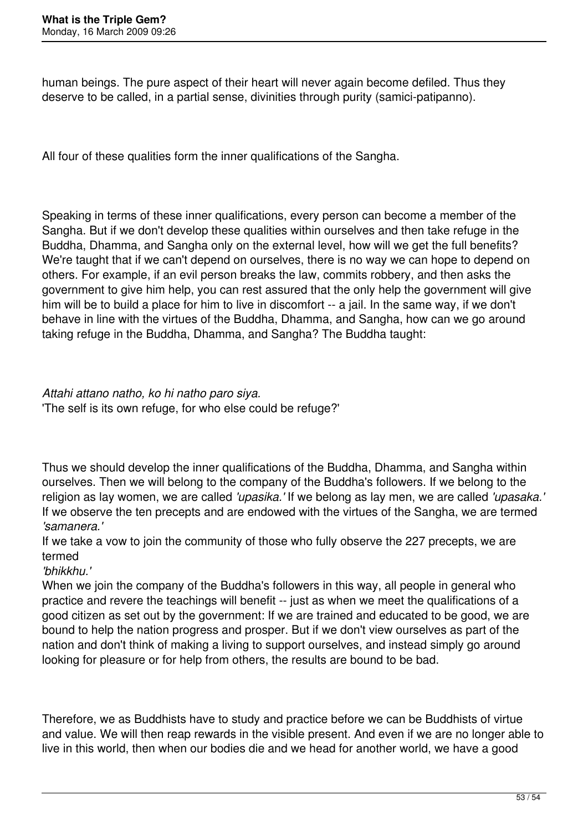human beings. The pure aspect of their heart will never again become defiled. Thus they deserve to be called, in a partial sense, divinities through purity (samici-patipanno).

All four of these qualities form the inner qualifications of the Sangha.

Speaking in terms of these inner qualifications, every person can become a member of the Sangha. But if we don't develop these qualities within ourselves and then take refuge in the Buddha, Dhamma, and Sangha only on the external level, how will we get the full benefits? We're taught that if we can't depend on ourselves, there is no way we can hope to depend on others. For example, if an evil person breaks the law, commits robbery, and then asks the government to give him help, you can rest assured that the only help the government will give him will be to build a place for him to live in discomfort -- a jail. In the same way, if we don't behave in line with the virtues of the Buddha, Dhamma, and Sangha, how can we go around taking refuge in the Buddha, Dhamma, and Sangha? The Buddha taught:

*Attahi attano natho, ko hi natho paro siya.* 'The self is its own refuge, for who else could be refuge?'

Thus we should develop the inner qualifications of the Buddha, Dhamma, and Sangha within ourselves. Then we will belong to the company of the Buddha's followers. If we belong to the religion as lay women, we are called *'upasika.'* If we belong as lay men, we are called *'upasaka.'* If we observe the ten precepts and are endowed with the virtues of the Sangha, we are termed *'samanera.'*

If we take a vow to join the community of those who fully observe the 227 precepts, we are termed

*'bhikkhu.'*

When we join the company of the Buddha's followers in this way, all people in general who practice and revere the teachings will benefit -- just as when we meet the qualifications of a good citizen as set out by the government: If we are trained and educated to be good, we are bound to help the nation progress and prosper. But if we don't view ourselves as part of the nation and don't think of making a living to support ourselves, and instead simply go around looking for pleasure or for help from others, the results are bound to be bad.

Therefore, we as Buddhists have to study and practice before we can be Buddhists of virtue and value. We will then reap rewards in the visible present. And even if we are no longer able to live in this world, then when our bodies die and we head for another world, we have a good